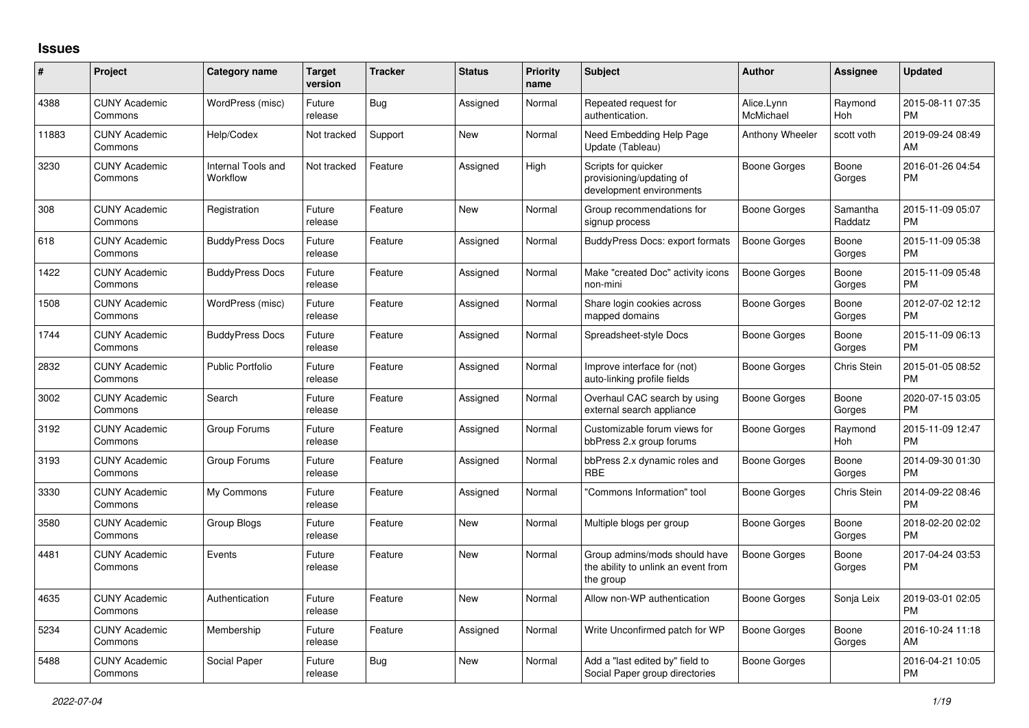## **Issues**

| #     | Project                         | Category name                  | <b>Target</b><br>version | <b>Tracker</b> | <b>Status</b> | Priority<br>name | <b>Subject</b>                                                                    | <b>Author</b>           | <b>Assignee</b>     | <b>Updated</b>                |
|-------|---------------------------------|--------------------------------|--------------------------|----------------|---------------|------------------|-----------------------------------------------------------------------------------|-------------------------|---------------------|-------------------------------|
| 4388  | <b>CUNY Academic</b><br>Commons | WordPress (misc)               | Future<br>release        | Bug            | Assigned      | Normal           | Repeated request for<br>authentication.                                           | Alice.Lynn<br>McMichael | Raymond<br>Hoh      | 2015-08-11 07:35<br><b>PM</b> |
| 11883 | <b>CUNY Academic</b><br>Commons | Help/Codex                     | Not tracked              | Support        | <b>New</b>    | Normal           | Need Embedding Help Page<br>Update (Tableau)                                      | Anthony Wheeler         | scott voth          | 2019-09-24 08:49<br>AM        |
| 3230  | <b>CUNY Academic</b><br>Commons | Internal Tools and<br>Workflow | Not tracked              | Feature        | Assigned      | High             | Scripts for quicker<br>provisioning/updating of<br>development environments       | Boone Gorges            | Boone<br>Gorges     | 2016-01-26 04:54<br><b>PM</b> |
| 308   | <b>CUNY Academic</b><br>Commons | Registration                   | Future<br>release        | Feature        | New           | Normal           | Group recommendations for<br>signup process                                       | Boone Gorges            | Samantha<br>Raddatz | 2015-11-09 05:07<br><b>PM</b> |
| 618   | <b>CUNY Academic</b><br>Commons | <b>BuddyPress Docs</b>         | Future<br>release        | Feature        | Assigned      | Normal           | <b>BuddyPress Docs: export formats</b>                                            | Boone Gorges            | Boone<br>Gorges     | 2015-11-09 05:38<br><b>PM</b> |
| 1422  | <b>CUNY Academic</b><br>Commons | <b>BuddyPress Docs</b>         | Future<br>release        | Feature        | Assigned      | Normal           | Make "created Doc" activity icons<br>non-mini                                     | <b>Boone Gorges</b>     | Boone<br>Gorges     | 2015-11-09 05:48<br><b>PM</b> |
| 1508  | <b>CUNY Academic</b><br>Commons | WordPress (misc)               | Future<br>release        | Feature        | Assigned      | Normal           | Share login cookies across<br>mapped domains                                      | Boone Gorges            | Boone<br>Gorges     | 2012-07-02 12:12<br><b>PM</b> |
| 1744  | <b>CUNY Academic</b><br>Commons | <b>BuddyPress Docs</b>         | Future<br>release        | Feature        | Assigned      | Normal           | Spreadsheet-style Docs                                                            | Boone Gorges            | Boone<br>Gorges     | 2015-11-09 06:13<br><b>PM</b> |
| 2832  | <b>CUNY Academic</b><br>Commons | <b>Public Portfolio</b>        | Future<br>release        | Feature        | Assigned      | Normal           | Improve interface for (not)<br>auto-linking profile fields                        | Boone Gorges            | Chris Stein         | 2015-01-05 08:52<br><b>PM</b> |
| 3002  | <b>CUNY Academic</b><br>Commons | Search                         | Future<br>release        | Feature        | Assigned      | Normal           | Overhaul CAC search by using<br>external search appliance                         | Boone Gorges            | Boone<br>Gorges     | 2020-07-15 03:05<br><b>PM</b> |
| 3192  | <b>CUNY Academic</b><br>Commons | Group Forums                   | Future<br>release        | Feature        | Assigned      | Normal           | Customizable forum views for<br>bbPress 2.x group forums                          | Boone Gorges            | Raymond<br>Hoh      | 2015-11-09 12:47<br><b>PM</b> |
| 3193  | <b>CUNY Academic</b><br>Commons | Group Forums                   | Future<br>release        | Feature        | Assigned      | Normal           | bbPress 2.x dynamic roles and<br><b>RBE</b>                                       | Boone Gorges            | Boone<br>Gorges     | 2014-09-30 01:30<br><b>PM</b> |
| 3330  | <b>CUNY Academic</b><br>Commons | My Commons                     | Future<br>release        | Feature        | Assigned      | Normal           | "Commons Information" tool                                                        | Boone Gorges            | Chris Stein         | 2014-09-22 08:46<br><b>PM</b> |
| 3580  | <b>CUNY Academic</b><br>Commons | Group Blogs                    | Future<br>release        | Feature        | <b>New</b>    | Normal           | Multiple blogs per group                                                          | Boone Gorges            | Boone<br>Gorges     | 2018-02-20 02:02<br><b>PM</b> |
| 4481  | <b>CUNY Academic</b><br>Commons | Events                         | Future<br>release        | Feature        | <b>New</b>    | Normal           | Group admins/mods should have<br>the ability to unlink an event from<br>the group | Boone Gorges            | Boone<br>Gorges     | 2017-04-24 03:53<br><b>PM</b> |
| 4635  | <b>CUNY Academic</b><br>Commons | Authentication                 | Future<br>release        | Feature        | <b>New</b>    | Normal           | Allow non-WP authentication                                                       | Boone Gorges            | Sonja Leix          | 2019-03-01 02:05<br><b>PM</b> |
| 5234  | <b>CUNY Academic</b><br>Commons | Membership                     | Future<br>release        | Feature        | Assigned      | Normal           | Write Unconfirmed patch for WP                                                    | Boone Gorges            | Boone<br>Gorges     | 2016-10-24 11:18<br>AM        |
| 5488  | <b>CUNY Academic</b><br>Commons | Social Paper                   | Future<br>release        | Bug            | New           | Normal           | Add a "last edited by" field to<br>Social Paper group directories                 | Boone Gorges            |                     | 2016-04-21 10:05<br><b>PM</b> |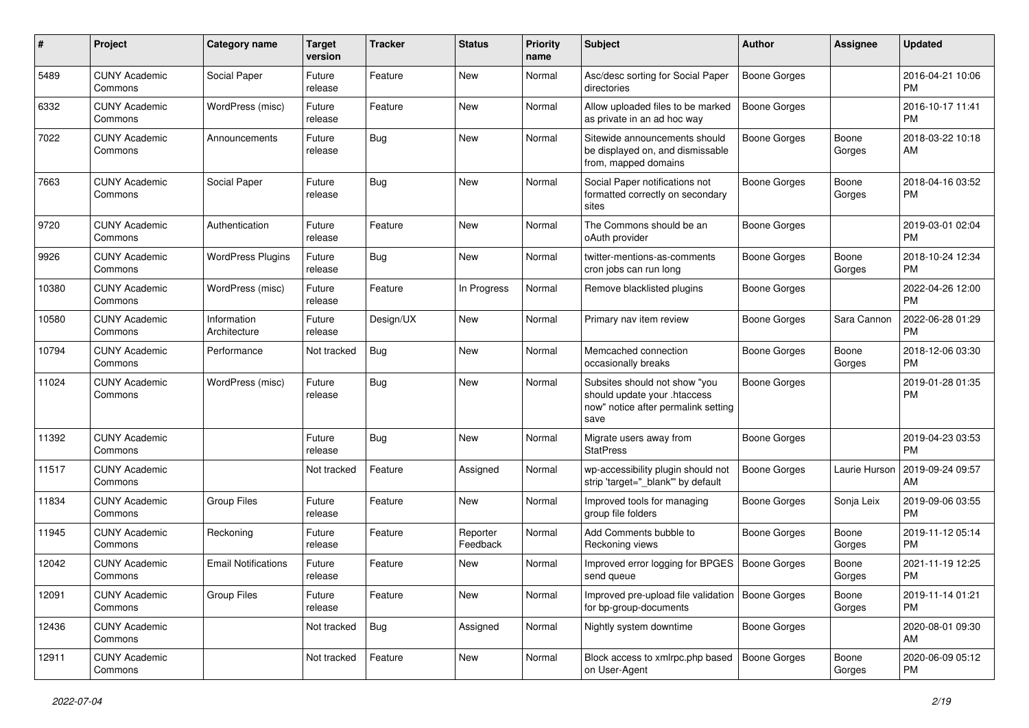| #     | Project                         | <b>Category name</b>        | <b>Target</b><br>version | <b>Tracker</b> | <b>Status</b>        | Priority<br>name | <b>Subject</b>                                                                                               | Author              | <b>Assignee</b> | <b>Updated</b>                |
|-------|---------------------------------|-----------------------------|--------------------------|----------------|----------------------|------------------|--------------------------------------------------------------------------------------------------------------|---------------------|-----------------|-------------------------------|
| 5489  | <b>CUNY Academic</b><br>Commons | Social Paper                | Future<br>release        | Feature        | <b>New</b>           | Normal           | Asc/desc sorting for Social Paper<br>directories                                                             | <b>Boone Gorges</b> |                 | 2016-04-21 10:06<br><b>PM</b> |
| 6332  | <b>CUNY Academic</b><br>Commons | WordPress (misc)            | Future<br>release        | Feature        | New                  | Normal           | Allow uploaded files to be marked<br>as private in an ad hoc way                                             | <b>Boone Gorges</b> |                 | 2016-10-17 11:41<br><b>PM</b> |
| 7022  | <b>CUNY Academic</b><br>Commons | Announcements               | Future<br>release        | Bug            | <b>New</b>           | Normal           | Sitewide announcements should<br>be displayed on, and dismissable<br>from, mapped domains                    | Boone Gorges        | Boone<br>Gorges | 2018-03-22 10:18<br>AM        |
| 7663  | <b>CUNY Academic</b><br>Commons | Social Paper                | Future<br>release        | Bug            | <b>New</b>           | Normal           | Social Paper notifications not<br>formatted correctly on secondary<br>sites                                  | <b>Boone Gorges</b> | Boone<br>Gorges | 2018-04-16 03:52<br><b>PM</b> |
| 9720  | <b>CUNY Academic</b><br>Commons | Authentication              | Future<br>release        | Feature        | New                  | Normal           | The Commons should be an<br>oAuth provider                                                                   | <b>Boone Gorges</b> |                 | 2019-03-01 02:04<br><b>PM</b> |
| 9926  | <b>CUNY Academic</b><br>Commons | <b>WordPress Plugins</b>    | Future<br>release        | Bug            | <b>New</b>           | Normal           | twitter-mentions-as-comments<br>cron jobs can run long                                                       | Boone Gorges        | Boone<br>Gorges | 2018-10-24 12:34<br><b>PM</b> |
| 10380 | <b>CUNY Academic</b><br>Commons | WordPress (misc)            | Future<br>release        | Feature        | In Progress          | Normal           | Remove blacklisted plugins                                                                                   | <b>Boone Gorges</b> |                 | 2022-04-26 12:00<br><b>PM</b> |
| 10580 | <b>CUNY Academic</b><br>Commons | Information<br>Architecture | Future<br>release        | Design/UX      | New                  | Normal           | Primary nav item review                                                                                      | <b>Boone Gorges</b> | Sara Cannon     | 2022-06-28 01:29<br><b>PM</b> |
| 10794 | <b>CUNY Academic</b><br>Commons | Performance                 | Not tracked              | Bug            | <b>New</b>           | Normal           | Memcached connection<br>occasionally breaks                                                                  | <b>Boone Gorges</b> | Boone<br>Gorges | 2018-12-06 03:30<br><b>PM</b> |
| 11024 | <b>CUNY Academic</b><br>Commons | WordPress (misc)            | Future<br>release        | Bug            | New                  | Normal           | Subsites should not show "you<br>should update your .htaccess<br>now" notice after permalink setting<br>save | <b>Boone Gorges</b> |                 | 2019-01-28 01:35<br><b>PM</b> |
| 11392 | <b>CUNY Academic</b><br>Commons |                             | Future<br>release        | Bug            | New                  | Normal           | Migrate users away from<br><b>StatPress</b>                                                                  | <b>Boone Gorges</b> |                 | 2019-04-23 03:53<br><b>PM</b> |
| 11517 | <b>CUNY Academic</b><br>Commons |                             | Not tracked              | Feature        | Assigned             | Normal           | wp-accessibility plugin should not<br>strip 'target="_blank"' by default                                     | <b>Boone Gorges</b> | Laurie Hurson   | 2019-09-24 09:57<br>AM        |
| 11834 | <b>CUNY Academic</b><br>Commons | <b>Group Files</b>          | Future<br>release        | Feature        | <b>New</b>           | Normal           | Improved tools for managing<br>group file folders                                                            | <b>Boone Gorges</b> | Sonja Leix      | 2019-09-06 03:55<br><b>PM</b> |
| 11945 | <b>CUNY Academic</b><br>Commons | Reckoning                   | Future<br>release        | Feature        | Reporter<br>Feedback | Normal           | Add Comments bubble to<br>Reckoning views                                                                    | <b>Boone Gorges</b> | Boone<br>Gorges | 2019-11-12 05:14<br><b>PM</b> |
| 12042 | <b>CUNY Academic</b><br>Commons | <b>Email Notifications</b>  | Future<br>release        | Feature        | New                  | Normal           | Improved error logging for BPGES<br>send queue                                                               | Boone Gorges        | Boone<br>Gorges | 2021-11-19 12:25<br><b>PM</b> |
| 12091 | <b>CUNY Academic</b><br>Commons | <b>Group Files</b>          | Future<br>release        | Feature        | New                  | Normal           | Improved pre-upload file validation   Boone Gorges<br>for bp-group-documents                                 |                     | Boone<br>Gorges | 2019-11-14 01:21<br><b>PM</b> |
| 12436 | <b>CUNY Academic</b><br>Commons |                             | Not tracked              | Bug            | Assigned             | Normal           | Nightly system downtime                                                                                      | <b>Boone Gorges</b> |                 | 2020-08-01 09:30<br>AM        |
| 12911 | <b>CUNY Academic</b><br>Commons |                             | Not tracked              | Feature        | New                  | Normal           | Block access to xmlrpc.php based<br>on User-Agent                                                            | Boone Gorges        | Boone<br>Gorges | 2020-06-09 05:12<br><b>PM</b> |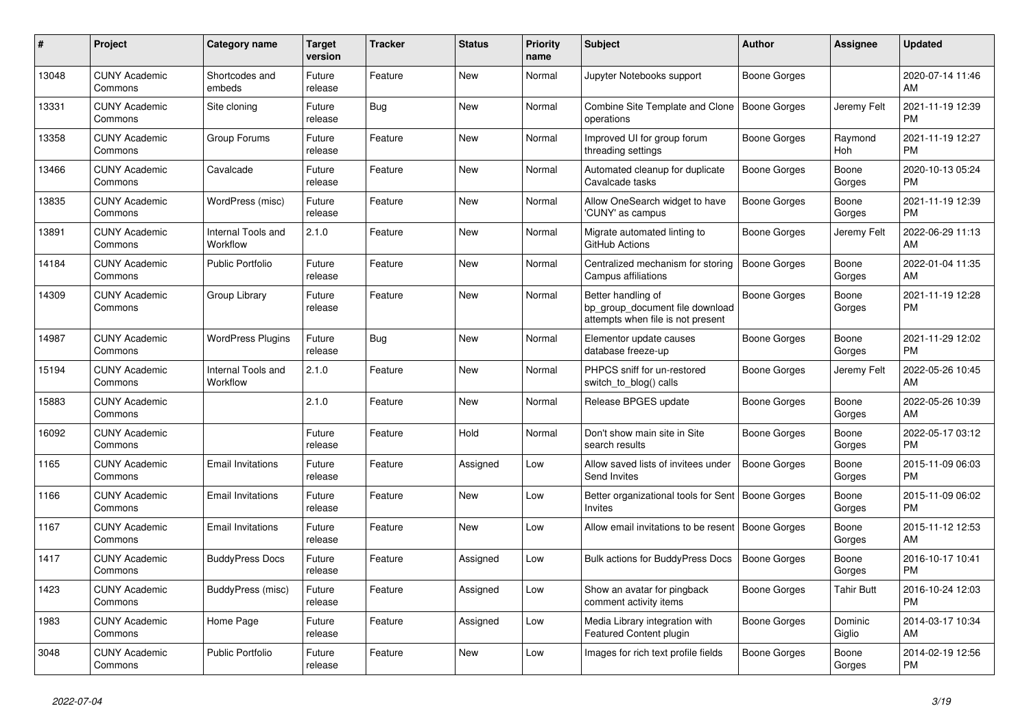| #     | Project                         | <b>Category name</b>           | <b>Target</b><br>version | <b>Tracker</b> | <b>Status</b> | Priority<br>name | <b>Subject</b>                                                                             | <b>Author</b>       | <b>Assignee</b>       | <b>Updated</b>                |
|-------|---------------------------------|--------------------------------|--------------------------|----------------|---------------|------------------|--------------------------------------------------------------------------------------------|---------------------|-----------------------|-------------------------------|
| 13048 | <b>CUNY Academic</b><br>Commons | Shortcodes and<br>embeds       | Future<br>release        | Feature        | New           | Normal           | Jupyter Notebooks support                                                                  | Boone Gorges        |                       | 2020-07-14 11:46<br>AM        |
| 13331 | <b>CUNY Academic</b><br>Commons | Site cloning                   | Future<br>release        | Bug            | New           | Normal           | Combine Site Template and Clone<br>operations                                              | Boone Gorges        | Jeremy Felt           | 2021-11-19 12:39<br><b>PM</b> |
| 13358 | <b>CUNY Academic</b><br>Commons | Group Forums                   | Future<br>release        | Feature        | <b>New</b>    | Normal           | Improved UI for group forum<br>threading settings                                          | Boone Gorges        | Raymond<br><b>Hoh</b> | 2021-11-19 12:27<br><b>PM</b> |
| 13466 | <b>CUNY Academic</b><br>Commons | Cavalcade                      | Future<br>release        | Feature        | <b>New</b>    | Normal           | Automated cleanup for duplicate<br>Cavalcade tasks                                         | Boone Gorges        | Boone<br>Gorges       | 2020-10-13 05:24<br><b>PM</b> |
| 13835 | <b>CUNY Academic</b><br>Commons | WordPress (misc)               | Future<br>release        | Feature        | New           | Normal           | Allow OneSearch widget to have<br>'CUNY' as campus                                         | <b>Boone Gorges</b> | Boone<br>Gorges       | 2021-11-19 12:39<br><b>PM</b> |
| 13891 | <b>CUNY Academic</b><br>Commons | Internal Tools and<br>Workflow | 2.1.0                    | Feature        | New           | Normal           | Migrate automated linting to<br>GitHub Actions                                             | Boone Gorges        | Jeremy Felt           | 2022-06-29 11:13<br>AM        |
| 14184 | <b>CUNY Academic</b><br>Commons | Public Portfolio               | Future<br>release        | Feature        | <b>New</b>    | Normal           | Centralized mechanism for storing<br>Campus affiliations                                   | <b>Boone Gorges</b> | Boone<br>Gorges       | 2022-01-04 11:35<br>AM        |
| 14309 | <b>CUNY Academic</b><br>Commons | Group Library                  | Future<br>release        | Feature        | <b>New</b>    | Normal           | Better handling of<br>bp group document file download<br>attempts when file is not present | Boone Gorges        | Boone<br>Gorges       | 2021-11-19 12:28<br>PM        |
| 14987 | <b>CUNY Academic</b><br>Commons | <b>WordPress Plugins</b>       | Future<br>release        | Bug            | <b>New</b>    | Normal           | Elementor update causes<br>database freeze-up                                              | Boone Gorges        | Boone<br>Gorges       | 2021-11-29 12:02<br><b>PM</b> |
| 15194 | <b>CUNY Academic</b><br>Commons | Internal Tools and<br>Workflow | 2.1.0                    | Feature        | <b>New</b>    | Normal           | PHPCS sniff for un-restored<br>switch to blog() calls                                      | <b>Boone Gorges</b> | Jeremy Felt           | 2022-05-26 10:45<br>AM        |
| 15883 | <b>CUNY Academic</b><br>Commons |                                | 2.1.0                    | Feature        | New           | Normal           | Release BPGES update                                                                       | Boone Gorges        | Boone<br>Gorges       | 2022-05-26 10:39<br>AM        |
| 16092 | <b>CUNY Academic</b><br>Commons |                                | Future<br>release        | Feature        | Hold          | Normal           | Don't show main site in Site<br>search results                                             | Boone Gorges        | Boone<br>Gorges       | 2022-05-17 03:12<br><b>PM</b> |
| 1165  | <b>CUNY Academic</b><br>Commons | <b>Email Invitations</b>       | Future<br>release        | Feature        | Assigned      | Low              | Allow saved lists of invitees under<br>Send Invites                                        | <b>Boone Gorges</b> | Boone<br>Gorges       | 2015-11-09 06:03<br><b>PM</b> |
| 1166  | <b>CUNY Academic</b><br>Commons | <b>Email Invitations</b>       | Future<br>release        | Feature        | New           | Low              | Better organizational tools for Sent<br><b>Invites</b>                                     | Boone Gorges        | Boone<br>Gorges       | 2015-11-09 06:02<br><b>PM</b> |
| 1167  | <b>CUNY Academic</b><br>Commons | <b>Email Invitations</b>       | Future<br>release        | Feature        | New           | Low              | Allow email invitations to be resent                                                       | Boone Gorges        | Boone<br>Gorges       | 2015-11-12 12:53<br>AM        |
| 1417  | <b>CUNY Academic</b><br>Commons | <b>BuddyPress Docs</b>         | Future<br>release        | Feature        | Assigned      | Low              | <b>Bulk actions for BuddyPress Docs</b>                                                    | <b>Boone Gorges</b> | Boone<br>Gorges       | 2016-10-17 10:41<br><b>PM</b> |
| 1423  | <b>CUNY Academic</b><br>Commons | BuddyPress (misc)              | Future<br>release        | Feature        | Assigned      | Low              | Show an avatar for pingback<br>comment activity items                                      | Boone Gorges        | Tahir Butt            | 2016-10-24 12:03<br><b>PM</b> |
| 1983  | <b>CUNY Academic</b><br>Commons | Home Page                      | Future<br>release        | Feature        | Assigned      | Low              | Media Library integration with<br><b>Featured Content plugin</b>                           | Boone Gorges        | Dominic<br>Giglio     | 2014-03-17 10:34<br>AM        |
| 3048  | <b>CUNY Academic</b><br>Commons | Public Portfolio               | Future<br>release        | Feature        | <b>New</b>    | Low              | Images for rich text profile fields                                                        | Boone Gorges        | Boone<br>Gorges       | 2014-02-19 12:56<br><b>PM</b> |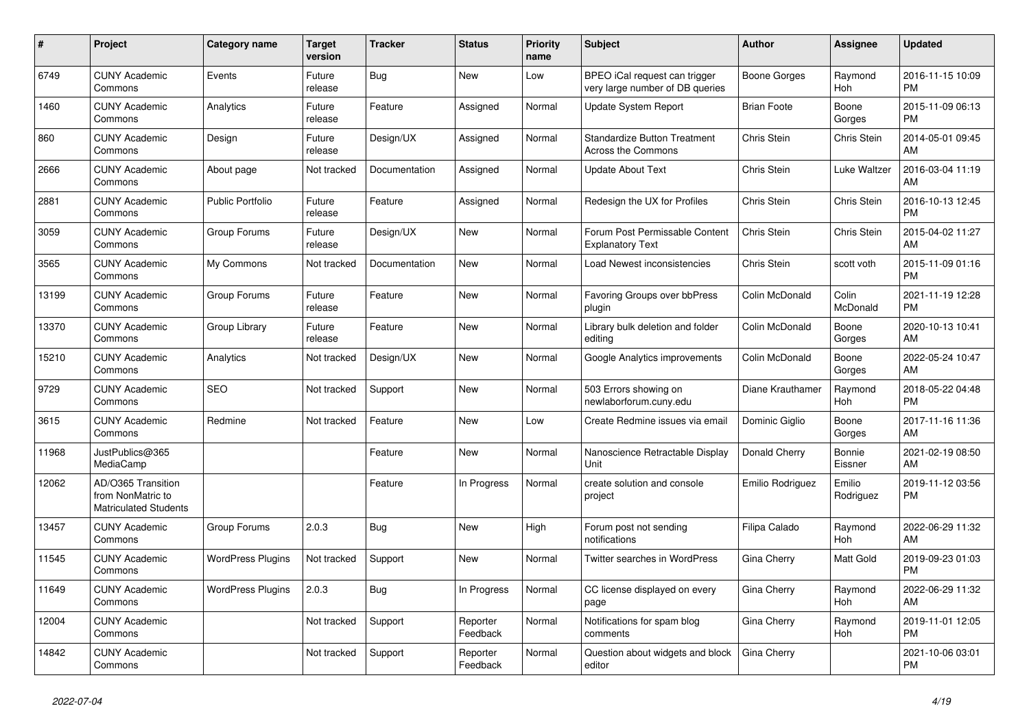| #     | <b>Project</b>                                                          | <b>Category name</b>     | <b>Target</b><br>version | <b>Tracker</b> | <b>Status</b>        | Priority<br>name | <b>Subject</b>                                                   | <b>Author</b>      | Assignee            | <b>Updated</b>                |
|-------|-------------------------------------------------------------------------|--------------------------|--------------------------|----------------|----------------------|------------------|------------------------------------------------------------------|--------------------|---------------------|-------------------------------|
| 6749  | <b>CUNY Academic</b><br>Commons                                         | Events                   | Future<br>release        | Bug            | <b>New</b>           | Low              | BPEO iCal request can trigger<br>very large number of DB queries | Boone Gorges       | Raymond<br>Hoh      | 2016-11-15 10:09<br><b>PM</b> |
| 1460  | <b>CUNY Academic</b><br>Commons                                         | Analytics                | Future<br>release        | Feature        | Assigned             | Normal           | <b>Update System Report</b>                                      | <b>Brian Foote</b> | Boone<br>Gorges     | 2015-11-09 06:13<br><b>PM</b> |
| 860   | <b>CUNY Academic</b><br>Commons                                         | Design                   | Future<br>release        | Design/UX      | Assigned             | Normal           | <b>Standardize Button Treatment</b><br><b>Across the Commons</b> | Chris Stein        | <b>Chris Stein</b>  | 2014-05-01 09:45<br>AM        |
| 2666  | <b>CUNY Academic</b><br>Commons                                         | About page               | Not tracked              | Documentation  | Assigned             | Normal           | <b>Update About Text</b>                                         | Chris Stein        | Luke Waltzer        | 2016-03-04 11:19<br>AM        |
| 2881  | <b>CUNY Academic</b><br>Commons                                         | <b>Public Portfolio</b>  | Future<br>release        | Feature        | Assigned             | Normal           | Redesign the UX for Profiles                                     | Chris Stein        | Chris Stein         | 2016-10-13 12:45<br><b>PM</b> |
| 3059  | <b>CUNY Academic</b><br>Commons                                         | Group Forums             | Future<br>release        | Design/UX      | New                  | Normal           | Forum Post Permissable Content<br><b>Explanatory Text</b>        | Chris Stein        | Chris Stein         | 2015-04-02 11:27<br>AM        |
| 3565  | <b>CUNY Academic</b><br>Commons                                         | My Commons               | Not tracked              | Documentation  | <b>New</b>           | Normal           | Load Newest inconsistencies                                      | Chris Stein        | scott voth          | 2015-11-09 01:16<br><b>PM</b> |
| 13199 | <b>CUNY Academic</b><br>Commons                                         | Group Forums             | Future<br>release        | Feature        | <b>New</b>           | Normal           | Favoring Groups over bbPress<br>plugin                           | Colin McDonald     | Colin<br>McDonald   | 2021-11-19 12:28<br><b>PM</b> |
| 13370 | <b>CUNY Academic</b><br>Commons                                         | Group Library            | Future<br>release        | Feature        | <b>New</b>           | Normal           | Library bulk deletion and folder<br>editing                      | Colin McDonald     | Boone<br>Gorges     | 2020-10-13 10:41<br>AM        |
| 15210 | <b>CUNY Academic</b><br>Commons                                         | Analytics                | Not tracked              | Design/UX      | New                  | Normal           | Google Analytics improvements                                    | Colin McDonald     | Boone<br>Gorges     | 2022-05-24 10:47<br>AM        |
| 9729  | <b>CUNY Academic</b><br>Commons                                         | <b>SEO</b>               | Not tracked              | Support        | <b>New</b>           | Normal           | 503 Errors showing on<br>newlaborforum.cuny.edu                  | Diane Krauthamer   | Raymond<br>Hoh      | 2018-05-22 04:48<br><b>PM</b> |
| 3615  | <b>CUNY Academic</b><br>Commons                                         | Redmine                  | Not tracked              | Feature        | New                  | Low              | Create Redmine issues via email                                  | Dominic Giglio     | Boone<br>Gorges     | 2017-11-16 11:36<br>AM        |
| 11968 | JustPublics@365<br>MediaCamp                                            |                          |                          | Feature        | New                  | Normal           | Nanoscience Retractable Display<br>Unit                          | Donald Cherry      | Bonnie<br>Eissner   | 2021-02-19 08:50<br>AM        |
| 12062 | AD/O365 Transition<br>from NonMatric to<br><b>Matriculated Students</b> |                          |                          | Feature        | In Progress          | Normal           | create solution and console<br>project                           | Emilio Rodriguez   | Emilio<br>Rodriguez | 2019-11-12 03:56<br><b>PM</b> |
| 13457 | <b>CUNY Academic</b><br>Commons                                         | Group Forums             | 2.0.3                    | Bug            | <b>New</b>           | High             | Forum post not sending<br>notifications                          | Filipa Calado      | Raymond<br>Hoh      | 2022-06-29 11:32<br>AM        |
| 11545 | <b>CUNY Academic</b><br>Commons                                         | <b>WordPress Plugins</b> | Not tracked              | Support        | <b>New</b>           | Normal           | Twitter searches in WordPress                                    | Gina Cherry        | Matt Gold           | 2019-09-23 01:03<br><b>PM</b> |
| 11649 | <b>CUNY Academic</b><br>Commons                                         | <b>WordPress Plugins</b> | 2.0.3                    | Bug            | In Progress          | Normal           | CC license displayed on every<br>page                            | Gina Cherry        | Raymond<br>Hoh      | 2022-06-29 11:32<br>AM        |
| 12004 | <b>CUNY Academic</b><br>Commons                                         |                          | Not tracked              | Support        | Reporter<br>Feedback | Normal           | Notifications for spam blog<br>comments                          | Gina Cherry        | Raymond<br>Hoh      | 2019-11-01 12:05<br><b>PM</b> |
| 14842 | <b>CUNY Academic</b><br>Commons                                         |                          | Not tracked              | Support        | Reporter<br>Feedback | Normal           | Question about widgets and block<br>editor                       | Gina Cherry        |                     | 2021-10-06 03:01<br><b>PM</b> |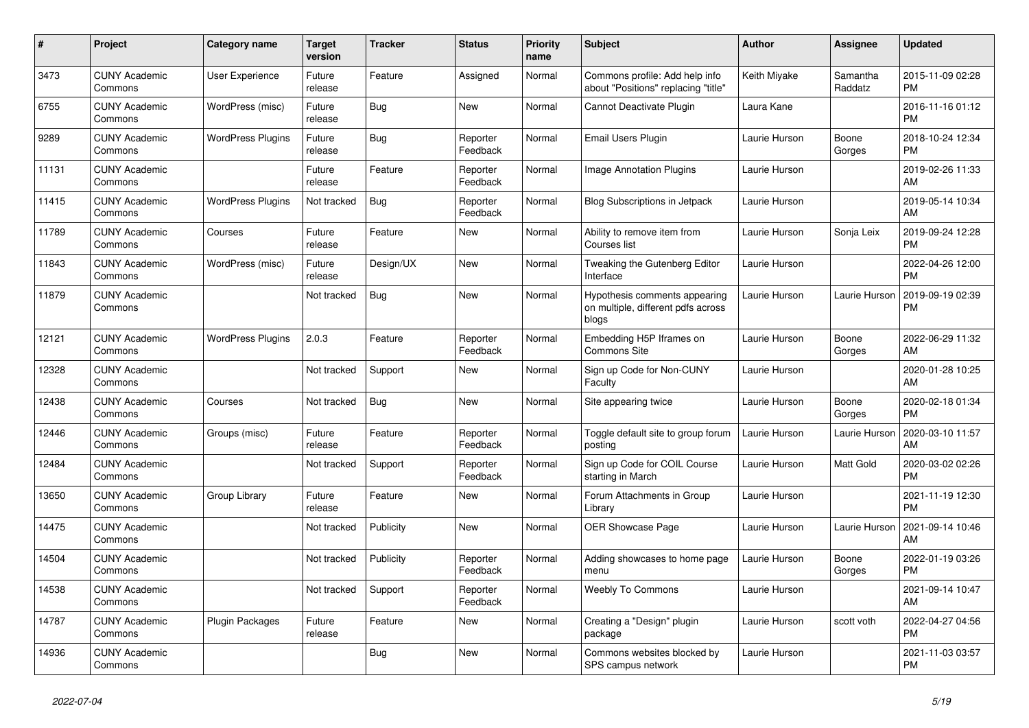| #     | Project                         | <b>Category name</b>     | <b>Target</b><br>version | <b>Tracker</b> | <b>Status</b>        | <b>Priority</b><br>name | <b>Subject</b>                                                               | <b>Author</b> | Assignee            | <b>Updated</b>                |
|-------|---------------------------------|--------------------------|--------------------------|----------------|----------------------|-------------------------|------------------------------------------------------------------------------|---------------|---------------------|-------------------------------|
| 3473  | <b>CUNY Academic</b><br>Commons | <b>User Experience</b>   | Future<br>release        | Feature        | Assigned             | Normal                  | Commons profile: Add help info<br>about "Positions" replacing "title"        | Keith Miyake  | Samantha<br>Raddatz | 2015-11-09 02:28<br><b>PM</b> |
| 6755  | <b>CUNY Academic</b><br>Commons | WordPress (misc)         | Future<br>release        | Bug            | New                  | Normal                  | Cannot Deactivate Plugin                                                     | Laura Kane    |                     | 2016-11-16 01:12<br><b>PM</b> |
| 9289  | <b>CUNY Academic</b><br>Commons | <b>WordPress Plugins</b> | Future<br>release        | Bug            | Reporter<br>Feedback | Normal                  | Email Users Plugin                                                           | Laurie Hurson | Boone<br>Gorges     | 2018-10-24 12:34<br><b>PM</b> |
| 11131 | <b>CUNY Academic</b><br>Commons |                          | Future<br>release        | Feature        | Reporter<br>Feedback | Normal                  | Image Annotation Plugins                                                     | Laurie Hurson |                     | 2019-02-26 11:33<br>AM        |
| 11415 | <b>CUNY Academic</b><br>Commons | <b>WordPress Plugins</b> | Not tracked              | <b>Bug</b>     | Reporter<br>Feedback | Normal                  | <b>Blog Subscriptions in Jetpack</b>                                         | Laurie Hurson |                     | 2019-05-14 10:34<br>AM        |
| 11789 | <b>CUNY Academic</b><br>Commons | Courses                  | Future<br>release        | Feature        | New                  | Normal                  | Ability to remove item from<br>Courses list                                  | Laurie Hurson | Sonja Leix          | 2019-09-24 12:28<br><b>PM</b> |
| 11843 | <b>CUNY Academic</b><br>Commons | WordPress (misc)         | Future<br>release        | Design/UX      | <b>New</b>           | Normal                  | Tweaking the Gutenberg Editor<br>Interface                                   | Laurie Hurson |                     | 2022-04-26 12:00<br><b>PM</b> |
| 11879 | <b>CUNY Academic</b><br>Commons |                          | Not tracked              | <b>Bug</b>     | <b>New</b>           | Normal                  | Hypothesis comments appearing<br>on multiple, different pdfs across<br>blogs | Laurie Hurson | Laurie Hurson       | 2019-09-19 02:39<br><b>PM</b> |
| 12121 | <b>CUNY Academic</b><br>Commons | <b>WordPress Plugins</b> | 2.0.3                    | Feature        | Reporter<br>Feedback | Normal                  | Embedding H5P Iframes on<br><b>Commons Site</b>                              | Laurie Hurson | Boone<br>Gorges     | 2022-06-29 11:32<br>AM        |
| 12328 | <b>CUNY Academic</b><br>Commons |                          | Not tracked              | Support        | New                  | Normal                  | Sign up Code for Non-CUNY<br>Faculty                                         | Laurie Hurson |                     | 2020-01-28 10:25<br>AM        |
| 12438 | <b>CUNY Academic</b><br>Commons | Courses                  | Not tracked              | <b>Bug</b>     | New                  | Normal                  | Site appearing twice                                                         | Laurie Hurson | Boone<br>Gorges     | 2020-02-18 01:34<br><b>PM</b> |
| 12446 | <b>CUNY Academic</b><br>Commons | Groups (misc)            | Future<br>release        | Feature        | Reporter<br>Feedback | Normal                  | Toggle default site to group forum<br>posting                                | Laurie Hurson | Laurie Hurson       | 2020-03-10 11:57<br>AM        |
| 12484 | <b>CUNY Academic</b><br>Commons |                          | Not tracked              | Support        | Reporter<br>Feedback | Normal                  | Sign up Code for COIL Course<br>starting in March                            | Laurie Hurson | Matt Gold           | 2020-03-02 02:26<br><b>PM</b> |
| 13650 | <b>CUNY Academic</b><br>Commons | Group Library            | Future<br>release        | Feature        | New                  | Normal                  | Forum Attachments in Group<br>Library                                        | Laurie Hurson |                     | 2021-11-19 12:30<br><b>PM</b> |
| 14475 | <b>CUNY Academic</b><br>Commons |                          | Not tracked              | Publicity      | <b>New</b>           | Normal                  | OER Showcase Page                                                            | Laurie Hurson | Laurie Hurson       | 2021-09-14 10:46<br>AM        |
| 14504 | <b>CUNY Academic</b><br>Commons |                          | Not tracked              | Publicity      | Reporter<br>Feedback | Normal                  | Adding showcases to home page<br>menu                                        | Laurie Hurson | Boone<br>Gorges     | 2022-01-19 03:26<br><b>PM</b> |
| 14538 | <b>CUNY Academic</b><br>Commons |                          | Not tracked              | Support        | Reporter<br>Feedback | Normal                  | <b>Weebly To Commons</b>                                                     | Laurie Hurson |                     | 2021-09-14 10:47<br>AM        |
| 14787 | <b>CUNY Academic</b><br>Commons | Plugin Packages          | Future<br>release        | Feature        | New                  | Normal                  | Creating a "Design" plugin<br>package                                        | Laurie Hurson | scott voth          | 2022-04-27 04:56<br><b>PM</b> |
| 14936 | <b>CUNY Academic</b><br>Commons |                          |                          | Bug            | <b>New</b>           | Normal                  | Commons websites blocked by<br>SPS campus network                            | Laurie Hurson |                     | 2021-11-03 03:57<br><b>PM</b> |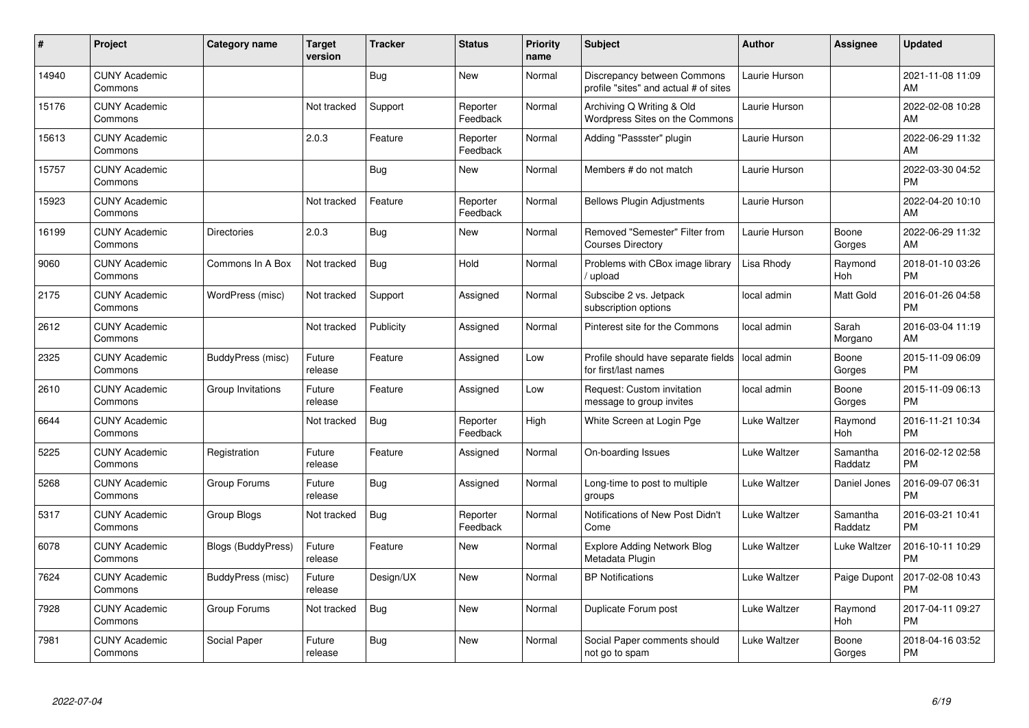| #     | Project                         | <b>Category name</b>      | <b>Target</b><br>version | <b>Tracker</b> | <b>Status</b>        | <b>Priority</b><br>name | <b>Subject</b>                                                       | <b>Author</b> | <b>Assignee</b>     | <b>Updated</b>                |
|-------|---------------------------------|---------------------------|--------------------------|----------------|----------------------|-------------------------|----------------------------------------------------------------------|---------------|---------------------|-------------------------------|
| 14940 | <b>CUNY Academic</b><br>Commons |                           |                          | Bug            | <b>New</b>           | Normal                  | Discrepancy between Commons<br>profile "sites" and actual # of sites | Laurie Hurson |                     | 2021-11-08 11:09<br>AM        |
| 15176 | <b>CUNY Academic</b><br>Commons |                           | Not tracked              | Support        | Reporter<br>Feedback | Normal                  | Archiving Q Writing & Old<br>Wordpress Sites on the Commons          | Laurie Hurson |                     | 2022-02-08 10:28<br>AM        |
| 15613 | <b>CUNY Academic</b><br>Commons |                           | 2.0.3                    | Feature        | Reporter<br>Feedback | Normal                  | Adding "Passster" plugin                                             | Laurie Hurson |                     | 2022-06-29 11:32<br>AM        |
| 15757 | <b>CUNY Academic</b><br>Commons |                           |                          | Bug            | <b>New</b>           | Normal                  | Members # do not match                                               | Laurie Hurson |                     | 2022-03-30 04:52<br><b>PM</b> |
| 15923 | <b>CUNY Academic</b><br>Commons |                           | Not tracked              | Feature        | Reporter<br>Feedback | Normal                  | <b>Bellows Plugin Adjustments</b>                                    | Laurie Hurson |                     | 2022-04-20 10:10<br>AM        |
| 16199 | <b>CUNY Academic</b><br>Commons | <b>Directories</b>        | 2.0.3                    | Bug            | <b>New</b>           | Normal                  | Removed "Semester" Filter from<br><b>Courses Directory</b>           | Laurie Hurson | Boone<br>Gorges     | 2022-06-29 11:32<br>AM        |
| 9060  | <b>CUNY Academic</b><br>Commons | Commons In A Box          | Not tracked              | <b>Bug</b>     | Hold                 | Normal                  | Problems with CBox image library<br>upload                           | Lisa Rhody    | Raymond<br>Hoh      | 2018-01-10 03:26<br><b>PM</b> |
| 2175  | <b>CUNY Academic</b><br>Commons | WordPress (misc)          | Not tracked              | Support        | Assigned             | Normal                  | Subscibe 2 vs. Jetpack<br>subscription options                       | local admin   | Matt Gold           | 2016-01-26 04:58<br><b>PM</b> |
| 2612  | <b>CUNY Academic</b><br>Commons |                           | Not tracked              | Publicity      | Assigned             | Normal                  | Pinterest site for the Commons                                       | local admin   | Sarah<br>Morgano    | 2016-03-04 11:19<br>AM        |
| 2325  | <b>CUNY Academic</b><br>Commons | BuddyPress (misc)         | Future<br>release        | Feature        | Assigned             | Low                     | Profile should have separate fields<br>for first/last names          | local admin   | Boone<br>Gorges     | 2015-11-09 06:09<br><b>PM</b> |
| 2610  | <b>CUNY Academic</b><br>Commons | Group Invitations         | Future<br>release        | Feature        | Assigned             | Low                     | Request: Custom invitation<br>message to group invites               | local admin   | Boone<br>Gorges     | 2015-11-09 06:13<br><b>PM</b> |
| 6644  | <b>CUNY Academic</b><br>Commons |                           | Not tracked              | <b>Bug</b>     | Reporter<br>Feedback | High                    | White Screen at Login Pge                                            | Luke Waltzer  | Raymond<br>Hoh      | 2016-11-21 10:34<br><b>PM</b> |
| 5225  | <b>CUNY Academic</b><br>Commons | Registration              | Future<br>release        | Feature        | Assigned             | Normal                  | On-boarding Issues                                                   | Luke Waltzer  | Samantha<br>Raddatz | 2016-02-12 02:58<br><b>PM</b> |
| 5268  | <b>CUNY Academic</b><br>Commons | Group Forums              | Future<br>release        | Bug            | Assigned             | Normal                  | Long-time to post to multiple<br>groups                              | Luke Waltzer  | Daniel Jones        | 2016-09-07 06:31<br><b>PM</b> |
| 5317  | <b>CUNY Academic</b><br>Commons | Group Blogs               | Not tracked              | <b>Bug</b>     | Reporter<br>Feedback | Normal                  | Notifications of New Post Didn't<br>Come                             | Luke Waltzer  | Samantha<br>Raddatz | 2016-03-21 10:41<br><b>PM</b> |
| 6078  | <b>CUNY Academic</b><br>Commons | <b>Blogs (BuddyPress)</b> | Future<br>release        | Feature        | <b>New</b>           | Normal                  | <b>Explore Adding Network Blog</b><br>Metadata Plugin                | Luke Waltzer  | Luke Waltzer        | 2016-10-11 10:29<br><b>PM</b> |
| 7624  | <b>CUNY Academic</b><br>Commons | BuddyPress (misc)         | Future<br>release        | Design/UX      | New                  | Normal                  | <b>BP</b> Notifications                                              | Luke Waltzer  | Paige Dupont        | 2017-02-08 10:43<br><b>PM</b> |
| 7928  | <b>CUNY Academic</b><br>Commons | Group Forums              | Not tracked              | Bug            | <b>New</b>           | Normal                  | Duplicate Forum post                                                 | Luke Waltzer  | Raymond<br>Hoh      | 2017-04-11 09:27<br><b>PM</b> |
| 7981  | <b>CUNY Academic</b><br>Commons | Social Paper              | Future<br>release        | Bug            | <b>New</b>           | Normal                  | Social Paper comments should<br>not go to spam                       | Luke Waltzer  | Boone<br>Gorges     | 2018-04-16 03:52<br><b>PM</b> |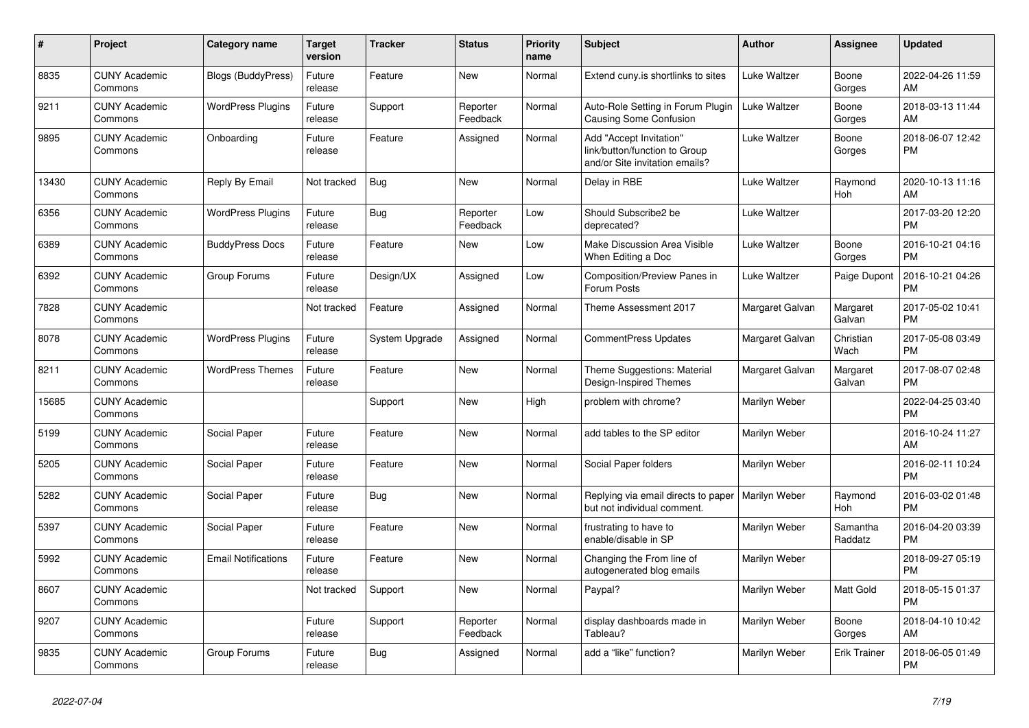| #     | <b>Project</b>                  | Category name              | Target<br>version | <b>Tracker</b> | <b>Status</b>        | <b>Priority</b><br>name | <b>Subject</b>                                                                             | <b>Author</b>   | Assignee            | <b>Updated</b>                |
|-------|---------------------------------|----------------------------|-------------------|----------------|----------------------|-------------------------|--------------------------------------------------------------------------------------------|-----------------|---------------------|-------------------------------|
| 8835  | <b>CUNY Academic</b><br>Commons | Blogs (BuddyPress)         | Future<br>release | Feature        | New                  | Normal                  | Extend cuny.is shortlinks to sites                                                         | Luke Waltzer    | Boone<br>Gorges     | 2022-04-26 11:59<br>AM        |
| 9211  | <b>CUNY Academic</b><br>Commons | <b>WordPress Plugins</b>   | Future<br>release | Support        | Reporter<br>Feedback | Normal                  | Auto-Role Setting in Forum Plugin<br>Causing Some Confusion                                | Luke Waltzer    | Boone<br>Gorges     | 2018-03-13 11:44<br>AM.       |
| 9895  | <b>CUNY Academic</b><br>Commons | Onboarding                 | Future<br>release | Feature        | Assigned             | Normal                  | Add "Accept Invitation"<br>link/button/function to Group<br>and/or Site invitation emails? | Luke Waltzer    | Boone<br>Gorges     | 2018-06-07 12:42<br><b>PM</b> |
| 13430 | <b>CUNY Academic</b><br>Commons | Reply By Email             | Not tracked       | <b>Bug</b>     | New                  | Normal                  | Delay in RBE                                                                               | Luke Waltzer    | Raymond<br>Hoh      | 2020-10-13 11:16<br>AM        |
| 6356  | <b>CUNY Academic</b><br>Commons | <b>WordPress Plugins</b>   | Future<br>release | Bug            | Reporter<br>Feedback | Low                     | Should Subscribe2 be<br>deprecated?                                                        | Luke Waltzer    |                     | 2017-03-20 12:20<br><b>PM</b> |
| 6389  | <b>CUNY Academic</b><br>Commons | <b>BuddyPress Docs</b>     | Future<br>release | Feature        | <b>New</b>           | Low                     | Make Discussion Area Visible<br>When Editing a Doc                                         | Luke Waltzer    | Boone<br>Gorges     | 2016-10-21 04:16<br><b>PM</b> |
| 6392  | <b>CUNY Academic</b><br>Commons | Group Forums               | Future<br>release | Design/UX      | Assigned             | Low                     | Composition/Preview Panes in<br>Forum Posts                                                | Luke Waltzer    | Paige Dupont        | 2016-10-21 04:26<br><b>PM</b> |
| 7828  | <b>CUNY Academic</b><br>Commons |                            | Not tracked       | Feature        | Assigned             | Normal                  | Theme Assessment 2017                                                                      | Margaret Galvan | Margaret<br>Galvan  | 2017-05-02 10:41<br><b>PM</b> |
| 8078  | <b>CUNY Academic</b><br>Commons | <b>WordPress Plugins</b>   | Future<br>release | System Upgrade | Assigned             | Normal                  | <b>CommentPress Updates</b>                                                                | Margaret Galvan | Christian<br>Wach   | 2017-05-08 03:49<br><b>PM</b> |
| 8211  | <b>CUNY Academic</b><br>Commons | <b>WordPress Themes</b>    | Future<br>release | Feature        | New                  | Normal                  | Theme Suggestions: Material<br>Design-Inspired Themes                                      | Margaret Galvan | Margaret<br>Galvan  | 2017-08-07 02:48<br><b>PM</b> |
| 15685 | <b>CUNY Academic</b><br>Commons |                            |                   | Support        | New                  | High                    | problem with chrome?                                                                       | Marilyn Weber   |                     | 2022-04-25 03:40<br><b>PM</b> |
| 5199  | <b>CUNY Academic</b><br>Commons | Social Paper               | Future<br>release | Feature        | <b>New</b>           | Normal                  | add tables to the SP editor                                                                | Marilyn Weber   |                     | 2016-10-24 11:27<br>AM        |
| 5205  | <b>CUNY Academic</b><br>Commons | Social Paper               | Future<br>release | Feature        | <b>New</b>           | Normal                  | Social Paper folders                                                                       | Marilyn Weber   |                     | 2016-02-11 10:24<br><b>PM</b> |
| 5282  | <b>CUNY Academic</b><br>Commons | Social Paper               | Future<br>release | Bug            | New                  | Normal                  | Replying via email directs to paper<br>but not individual comment.                         | Marilyn Weber   | Raymond<br>Hoh      | 2016-03-02 01:48<br><b>PM</b> |
| 5397  | <b>CUNY Academic</b><br>Commons | Social Paper               | Future<br>release | Feature        | <b>New</b>           | Normal                  | frustrating to have to<br>enable/disable in SP                                             | Marilyn Weber   | Samantha<br>Raddatz | 2016-04-20 03:39<br><b>PM</b> |
| 5992  | <b>CUNY Academic</b><br>Commons | <b>Email Notifications</b> | Future<br>release | Feature        | New                  | Normal                  | Changing the From line of<br>autogenerated blog emails                                     | Marilyn Weber   |                     | 2018-09-27 05:19<br><b>PM</b> |
| 8607  | <b>CUNY Academic</b><br>Commons |                            | Not tracked       | Support        | <b>New</b>           | Normal                  | Paypal?                                                                                    | Marilyn Weber   | Matt Gold           | 2018-05-15 01:37<br><b>PM</b> |
| 9207  | <b>CUNY Academic</b><br>Commons |                            | Future<br>release | Support        | Reporter<br>Feedback | Normal                  | display dashboards made in<br>Tableau?                                                     | Marilyn Weber   | Boone<br>Gorges     | 2018-04-10 10:42<br>AM.       |
| 9835  | <b>CUNY Academic</b><br>Commons | Group Forums               | Future<br>release | Bug            | Assigned             | Normal                  | add a "like" function?                                                                     | Marilyn Weber   | <b>Erik Trainer</b> | 2018-06-05 01:49<br>PM        |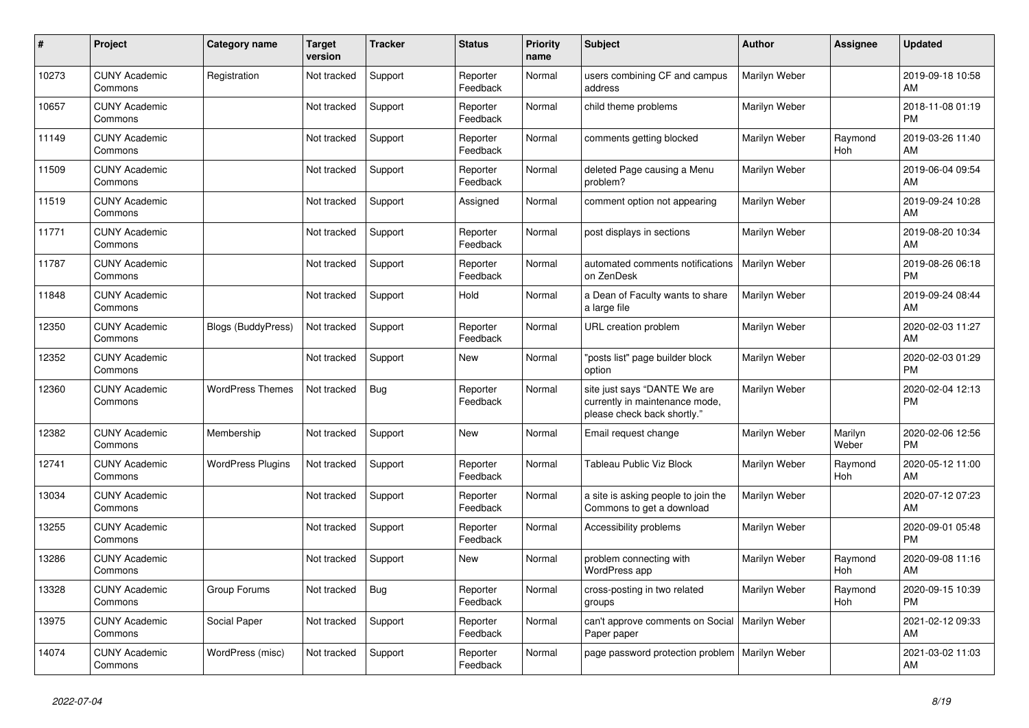| #     | <b>Project</b>                  | <b>Category name</b>      | <b>Target</b><br>version | <b>Tracker</b> | <b>Status</b>        | <b>Priority</b><br>name | <b>Subject</b>                                                                                | <b>Author</b> | Assignee         | <b>Updated</b>                |
|-------|---------------------------------|---------------------------|--------------------------|----------------|----------------------|-------------------------|-----------------------------------------------------------------------------------------------|---------------|------------------|-------------------------------|
| 10273 | <b>CUNY Academic</b><br>Commons | Registration              | Not tracked              | Support        | Reporter<br>Feedback | Normal                  | users combining CF and campus<br>address                                                      | Marilyn Weber |                  | 2019-09-18 10:58<br>AM        |
| 10657 | <b>CUNY Academic</b><br>Commons |                           | Not tracked              | Support        | Reporter<br>Feedback | Normal                  | child theme problems                                                                          | Marilyn Weber |                  | 2018-11-08 01:19<br><b>PM</b> |
| 11149 | <b>CUNY Academic</b><br>Commons |                           | Not tracked              | Support        | Reporter<br>Feedback | Normal                  | comments getting blocked                                                                      | Marilyn Weber | Raymond<br>Hoh   | 2019-03-26 11:40<br>AM        |
| 11509 | <b>CUNY Academic</b><br>Commons |                           | Not tracked              | Support        | Reporter<br>Feedback | Normal                  | deleted Page causing a Menu<br>problem?                                                       | Marilyn Weber |                  | 2019-06-04 09:54<br><b>AM</b> |
| 11519 | <b>CUNY Academic</b><br>Commons |                           | Not tracked              | Support        | Assigned             | Normal                  | comment option not appearing                                                                  | Marilyn Weber |                  | 2019-09-24 10:28<br>AM        |
| 11771 | <b>CUNY Academic</b><br>Commons |                           | Not tracked              | Support        | Reporter<br>Feedback | Normal                  | post displays in sections                                                                     | Marilyn Weber |                  | 2019-08-20 10:34<br>AM        |
| 11787 | <b>CUNY Academic</b><br>Commons |                           | Not tracked              | Support        | Reporter<br>Feedback | Normal                  | automated comments notifications<br>on ZenDesk                                                | Marilyn Weber |                  | 2019-08-26 06:18<br><b>PM</b> |
| 11848 | <b>CUNY Academic</b><br>Commons |                           | Not tracked              | Support        | Hold                 | Normal                  | a Dean of Faculty wants to share<br>a large file                                              | Marilyn Weber |                  | 2019-09-24 08:44<br>AM.       |
| 12350 | <b>CUNY Academic</b><br>Commons | <b>Blogs (BuddyPress)</b> | Not tracked              | Support        | Reporter<br>Feedback | Normal                  | URL creation problem                                                                          | Marilyn Weber |                  | 2020-02-03 11:27<br>AM        |
| 12352 | <b>CUNY Academic</b><br>Commons |                           | Not tracked              | Support        | New                  | Normal                  | "posts list" page builder block<br>option                                                     | Marilyn Weber |                  | 2020-02-03 01:29<br><b>PM</b> |
| 12360 | <b>CUNY Academic</b><br>Commons | <b>WordPress Themes</b>   | Not tracked              | Bug            | Reporter<br>Feedback | Normal                  | site just says "DANTE We are<br>currently in maintenance mode,<br>please check back shortly." | Marilyn Weber |                  | 2020-02-04 12:13<br><b>PM</b> |
| 12382 | <b>CUNY Academic</b><br>Commons | Membership                | Not tracked              | Support        | New                  | Normal                  | Email request change                                                                          | Marilyn Weber | Marilyn<br>Weber | 2020-02-06 12:56<br><b>PM</b> |
| 12741 | <b>CUNY Academic</b><br>Commons | <b>WordPress Plugins</b>  | Not tracked              | Support        | Reporter<br>Feedback | Normal                  | Tableau Public Viz Block                                                                      | Marilyn Weber | Raymond<br>Hoh   | 2020-05-12 11:00<br>AM        |
| 13034 | <b>CUNY Academic</b><br>Commons |                           | Not tracked              | Support        | Reporter<br>Feedback | Normal                  | a site is asking people to join the<br>Commons to get a download                              | Marilyn Weber |                  | 2020-07-12 07:23<br>AM        |
| 13255 | <b>CUNY Academic</b><br>Commons |                           | Not tracked              | Support        | Reporter<br>Feedback | Normal                  | Accessibility problems                                                                        | Marilyn Weber |                  | 2020-09-01 05:48<br><b>PM</b> |
| 13286 | <b>CUNY Academic</b><br>Commons |                           | Not tracked              | Support        | <b>New</b>           | Normal                  | problem connecting with<br><b>WordPress app</b>                                               | Marilyn Weber | Raymond<br>Hoh   | 2020-09-08 11:16<br>AM        |
| 13328 | <b>CUNY Academic</b><br>Commons | Group Forums              | Not tracked              | Bug            | Reporter<br>Feedback | Normal                  | cross-posting in two related<br>groups                                                        | Marilyn Weber | Raymond<br>Hoh   | 2020-09-15 10:39<br><b>PM</b> |
| 13975 | <b>CUNY Academic</b><br>Commons | Social Paper              | Not tracked              | Support        | Reporter<br>Feedback | Normal                  | can't approve comments on Social<br>Paper paper                                               | Marilyn Weber |                  | 2021-02-12 09:33<br>AM        |
| 14074 | <b>CUNY Academic</b><br>Commons | WordPress (misc)          | Not tracked              | Support        | Reporter<br>Feedback | Normal                  | page password protection problem                                                              | Marilyn Weber |                  | 2021-03-02 11:03<br>AM        |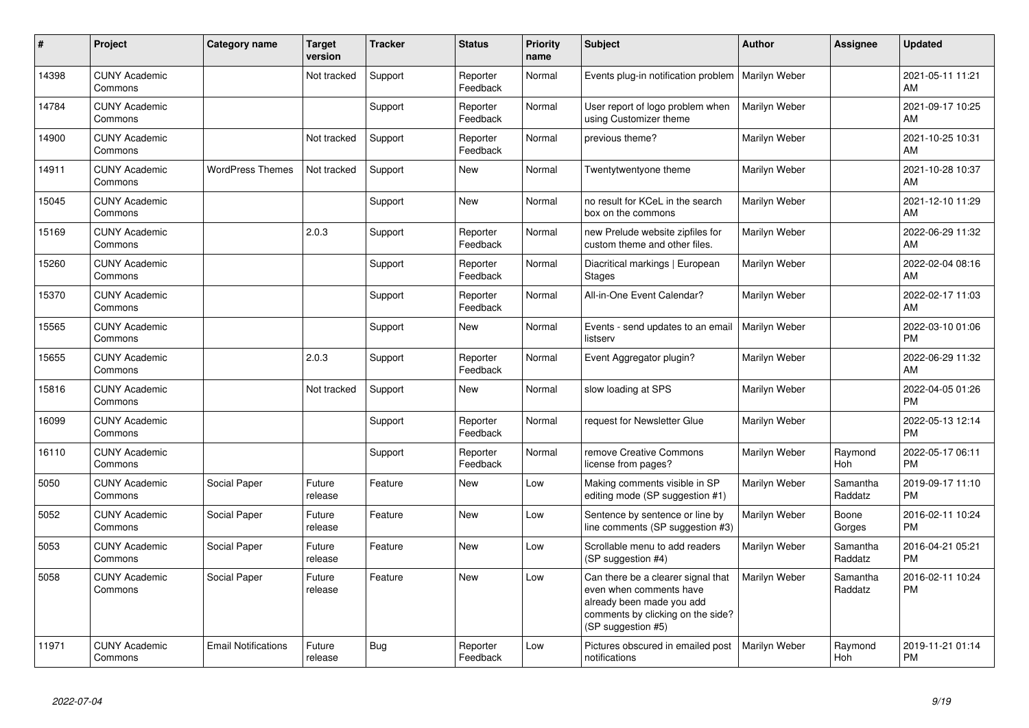| #     | Project                         | <b>Category name</b>       | <b>Target</b><br>version | <b>Tracker</b> | <b>Status</b>        | <b>Priority</b><br>name | <b>Subject</b>                                                                                                                                        | <b>Author</b> | Assignee            | <b>Updated</b>                |
|-------|---------------------------------|----------------------------|--------------------------|----------------|----------------------|-------------------------|-------------------------------------------------------------------------------------------------------------------------------------------------------|---------------|---------------------|-------------------------------|
| 14398 | <b>CUNY Academic</b><br>Commons |                            | Not tracked              | Support        | Reporter<br>Feedback | Normal                  | Events plug-in notification problem                                                                                                                   | Marilyn Weber |                     | 2021-05-11 11:21<br>AM        |
| 14784 | <b>CUNY Academic</b><br>Commons |                            |                          | Support        | Reporter<br>Feedback | Normal                  | User report of logo problem when<br>using Customizer theme                                                                                            | Marilyn Weber |                     | 2021-09-17 10:25<br>AM        |
| 14900 | <b>CUNY Academic</b><br>Commons |                            | Not tracked              | Support        | Reporter<br>Feedback | Normal                  | previous theme?                                                                                                                                       | Marilyn Weber |                     | 2021-10-25 10:31<br>AM        |
| 14911 | <b>CUNY Academic</b><br>Commons | <b>WordPress Themes</b>    | Not tracked              | Support        | New                  | Normal                  | Twentytwentyone theme                                                                                                                                 | Marilyn Weber |                     | 2021-10-28 10:37<br>AM        |
| 15045 | <b>CUNY Academic</b><br>Commons |                            |                          | Support        | <b>New</b>           | Normal                  | no result for KCeL in the search<br>box on the commons                                                                                                | Marilyn Weber |                     | 2021-12-10 11:29<br>AM        |
| 15169 | <b>CUNY Academic</b><br>Commons |                            | 2.0.3                    | Support        | Reporter<br>Feedback | Normal                  | new Prelude website zipfiles for<br>custom theme and other files.                                                                                     | Marilyn Weber |                     | 2022-06-29 11:32<br>AM        |
| 15260 | <b>CUNY Academic</b><br>Commons |                            |                          | Support        | Reporter<br>Feedback | Normal                  | Diacritical markings   European<br><b>Stages</b>                                                                                                      | Marilyn Weber |                     | 2022-02-04 08:16<br>AM        |
| 15370 | <b>CUNY Academic</b><br>Commons |                            |                          | Support        | Reporter<br>Feedback | Normal                  | All-in-One Event Calendar?                                                                                                                            | Marilyn Weber |                     | 2022-02-17 11:03<br>AM        |
| 15565 | <b>CUNY Academic</b><br>Commons |                            |                          | Support        | <b>New</b>           | Normal                  | Events - send updates to an email<br>listserv                                                                                                         | Marilyn Weber |                     | 2022-03-10 01:06<br><b>PM</b> |
| 15655 | <b>CUNY Academic</b><br>Commons |                            | 2.0.3                    | Support        | Reporter<br>Feedback | Normal                  | Event Aggregator plugin?                                                                                                                              | Marilyn Weber |                     | 2022-06-29 11:32<br>AM        |
| 15816 | <b>CUNY Academic</b><br>Commons |                            | Not tracked              | Support        | New                  | Normal                  | slow loading at SPS                                                                                                                                   | Marilyn Weber |                     | 2022-04-05 01:26<br><b>PM</b> |
| 16099 | <b>CUNY Academic</b><br>Commons |                            |                          | Support        | Reporter<br>Feedback | Normal                  | request for Newsletter Glue                                                                                                                           | Marilyn Weber |                     | 2022-05-13 12:14<br><b>PM</b> |
| 16110 | <b>CUNY Academic</b><br>Commons |                            |                          | Support        | Reporter<br>Feedback | Normal                  | remove Creative Commons<br>license from pages?                                                                                                        | Marilyn Weber | Raymond<br>Hoh      | 2022-05-17 06:11<br><b>PM</b> |
| 5050  | <b>CUNY Academic</b><br>Commons | Social Paper               | Future<br>release        | Feature        | New                  | Low                     | Making comments visible in SP<br>editing mode (SP suggestion #1)                                                                                      | Marilyn Weber | Samantha<br>Raddatz | 2019-09-17 11:10<br><b>PM</b> |
| 5052  | <b>CUNY Academic</b><br>Commons | Social Paper               | Future<br>release        | Feature        | <b>New</b>           | Low                     | Sentence by sentence or line by<br>line comments (SP suggestion #3)                                                                                   | Marilyn Weber | Boone<br>Gorges     | 2016-02-11 10:24<br><b>PM</b> |
| 5053  | <b>CUNY Academic</b><br>Commons | Social Paper               | Future<br>release        | Feature        | <b>New</b>           | Low                     | Scrollable menu to add readers<br>(SP suggestion #4)                                                                                                  | Marilyn Weber | Samantha<br>Raddatz | 2016-04-21 05:21<br><b>PM</b> |
| 5058  | <b>CUNY Academic</b><br>Commons | Social Paper               | Future<br>release        | Feature        | <b>New</b>           | Low                     | Can there be a clearer signal that<br>even when comments have<br>already been made you add<br>comments by clicking on the side?<br>(SP suggestion #5) | Marilyn Weber | Samantha<br>Raddatz | 2016-02-11 10:24<br><b>PM</b> |
| 11971 | <b>CUNY Academic</b><br>Commons | <b>Email Notifications</b> | Future<br>release        | Bug            | Reporter<br>Feedback | Low                     | Pictures obscured in emailed post<br>notifications                                                                                                    | Marilyn Weber | Raymond<br>Hoh      | 2019-11-21 01:14<br><b>PM</b> |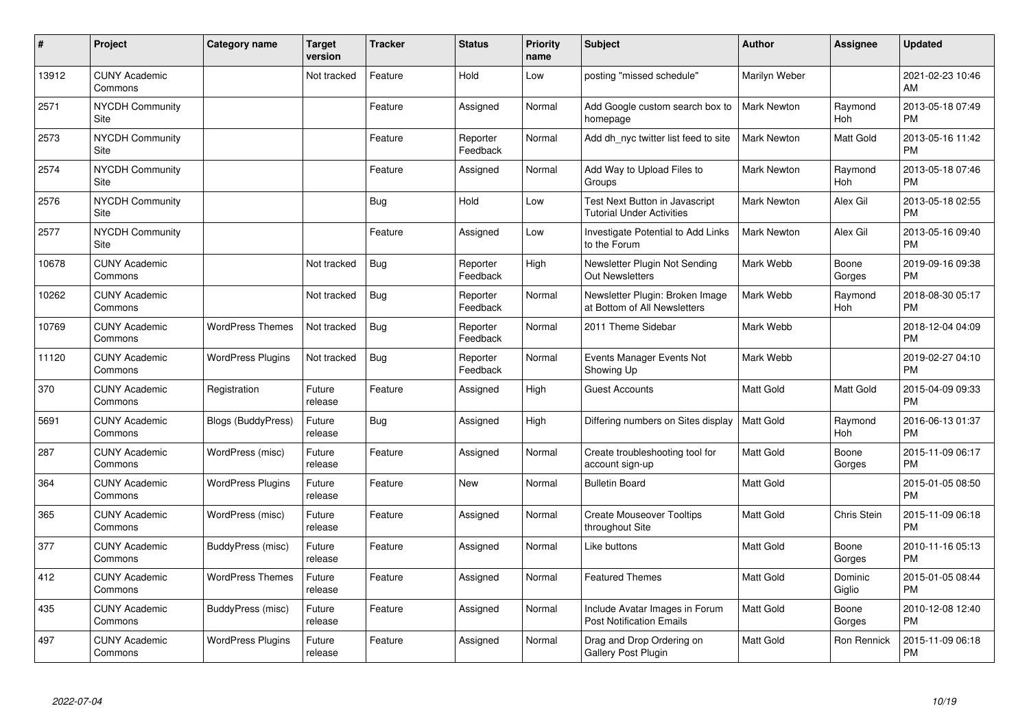| #     | Project                         | <b>Category name</b>      | <b>Target</b><br>version | <b>Tracker</b> | <b>Status</b>        | <b>Priority</b><br>name | <b>Subject</b>                                                     | <b>Author</b>      | <b>Assignee</b>   | <b>Updated</b>                |
|-------|---------------------------------|---------------------------|--------------------------|----------------|----------------------|-------------------------|--------------------------------------------------------------------|--------------------|-------------------|-------------------------------|
| 13912 | <b>CUNY Academic</b><br>Commons |                           | Not tracked              | Feature        | Hold                 | Low                     | posting "missed schedule"                                          | Marilyn Weber      |                   | 2021-02-23 10:46<br>AM        |
| 2571  | NYCDH Community<br>Site         |                           |                          | Feature        | Assigned             | Normal                  | Add Google custom search box to<br>homepage                        | <b>Mark Newton</b> | Raymond<br>Hoh    | 2013-05-18 07:49<br><b>PM</b> |
| 2573  | <b>NYCDH Community</b><br>Site  |                           |                          | Feature        | Reporter<br>Feedback | Normal                  | Add dh nyc twitter list feed to site                               | <b>Mark Newton</b> | Matt Gold         | 2013-05-16 11:42<br><b>PM</b> |
| 2574  | <b>NYCDH Community</b><br>Site  |                           |                          | Feature        | Assigned             | Normal                  | Add Way to Upload Files to<br>Groups                               | <b>Mark Newton</b> | Raymond<br>Hoh    | 2013-05-18 07:46<br><b>PM</b> |
| 2576  | <b>NYCDH Community</b><br>Site  |                           |                          | <b>Bug</b>     | Hold                 | Low                     | Test Next Button in Javascript<br><b>Tutorial Under Activities</b> | <b>Mark Newton</b> | Alex Gil          | 2013-05-18 02:55<br><b>PM</b> |
| 2577  | <b>NYCDH Community</b><br>Site  |                           |                          | Feature        | Assigned             | Low                     | Investigate Potential to Add Links<br>to the Forum                 | <b>Mark Newton</b> | Alex Gil          | 2013-05-16 09:40<br><b>PM</b> |
| 10678 | <b>CUNY Academic</b><br>Commons |                           | Not tracked              | <b>Bug</b>     | Reporter<br>Feedback | High                    | Newsletter Plugin Not Sending<br><b>Out Newsletters</b>            | Mark Webb          | Boone<br>Gorges   | 2019-09-16 09:38<br><b>PM</b> |
| 10262 | <b>CUNY Academic</b><br>Commons |                           | Not tracked              | Bug            | Reporter<br>Feedback | Normal                  | Newsletter Plugin: Broken Image<br>at Bottom of All Newsletters    | Mark Webb          | Raymond<br>Hoh    | 2018-08-30 05:17<br><b>PM</b> |
| 10769 | <b>CUNY Academic</b><br>Commons | <b>WordPress Themes</b>   | Not tracked              | Bug            | Reporter<br>Feedback | Normal                  | 2011 Theme Sidebar                                                 | Mark Webb          |                   | 2018-12-04 04:09<br><b>PM</b> |
| 11120 | <b>CUNY Academic</b><br>Commons | <b>WordPress Plugins</b>  | Not tracked              | Bug            | Reporter<br>Feedback | Normal                  | Events Manager Events Not<br>Showing Up                            | Mark Webb          |                   | 2019-02-27 04:10<br><b>PM</b> |
| 370   | <b>CUNY Academic</b><br>Commons | Registration              | Future<br>release        | Feature        | Assigned             | High                    | <b>Guest Accounts</b>                                              | <b>Matt Gold</b>   | Matt Gold         | 2015-04-09 09:33<br><b>PM</b> |
| 5691  | <b>CUNY Academic</b><br>Commons | <b>Blogs (BuddyPress)</b> | Future<br>release        | Bug            | Assigned             | High                    | Differing numbers on Sites display                                 | <b>Matt Gold</b>   | Raymond<br>Hoh    | 2016-06-13 01:37<br><b>PM</b> |
| 287   | <b>CUNY Academic</b><br>Commons | WordPress (misc)          | Future<br>release        | Feature        | Assigned             | Normal                  | Create troubleshooting tool for<br>account sign-up                 | <b>Matt Gold</b>   | Boone<br>Gorges   | 2015-11-09 06:17<br><b>PM</b> |
| 364   | <b>CUNY Academic</b><br>Commons | <b>WordPress Plugins</b>  | Future<br>release        | Feature        | New                  | Normal                  | <b>Bulletin Board</b>                                              | <b>Matt Gold</b>   |                   | 2015-01-05 08:50<br><b>PM</b> |
| 365   | <b>CUNY Academic</b><br>Commons | WordPress (misc)          | Future<br>release        | Feature        | Assigned             | Normal                  | <b>Create Mouseover Tooltips</b><br>throughout Site                | <b>Matt Gold</b>   | Chris Stein       | 2015-11-09 06:18<br><b>PM</b> |
| 377   | <b>CUNY Academic</b><br>Commons | BuddyPress (misc)         | Future<br>release        | Feature        | Assigned             | Normal                  | Like buttons                                                       | Matt Gold          | Boone<br>Gorges   | 2010-11-16 05:13<br><b>PM</b> |
| 412   | <b>CUNY Academic</b><br>Commons | <b>WordPress Themes</b>   | Future<br>release        | Feature        | Assigned             | Normal                  | <b>Featured Themes</b>                                             | <b>Matt Gold</b>   | Dominic<br>Giglio | 2015-01-05 08:44<br><b>PM</b> |
| 435   | <b>CUNY Academic</b><br>Commons | BuddyPress (misc)         | Future<br>release        | Feature        | Assigned             | Normal                  | Include Avatar Images in Forum<br><b>Post Notification Emails</b>  | Matt Gold          | Boone<br>Gorges   | 2010-12-08 12:40<br><b>PM</b> |
| 497   | <b>CUNY Academic</b><br>Commons | <b>WordPress Plugins</b>  | Future<br>release        | Feature        | Assigned             | Normal                  | Drag and Drop Ordering on<br><b>Gallery Post Plugin</b>            | Matt Gold          | Ron Rennick       | 2015-11-09 06:18<br><b>PM</b> |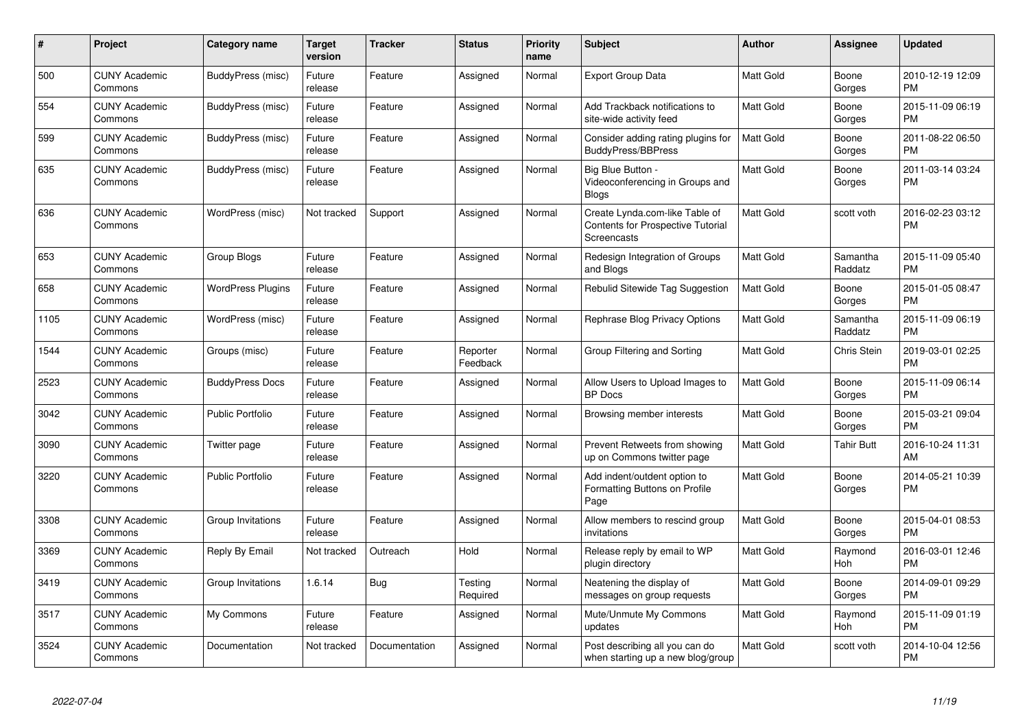| #    | Project                         | <b>Category name</b>     | <b>Target</b><br>version | <b>Tracker</b> | <b>Status</b>        | <b>Priority</b><br>name | <b>Subject</b>                                                                            | <b>Author</b>    | Assignee            | <b>Updated</b>                |
|------|---------------------------------|--------------------------|--------------------------|----------------|----------------------|-------------------------|-------------------------------------------------------------------------------------------|------------------|---------------------|-------------------------------|
| 500  | <b>CUNY Academic</b><br>Commons | BuddyPress (misc)        | Future<br>release        | Feature        | Assigned             | Normal                  | Export Group Data                                                                         | <b>Matt Gold</b> | Boone<br>Gorges     | 2010-12-19 12:09<br><b>PM</b> |
| 554  | <b>CUNY Academic</b><br>Commons | BuddyPress (misc)        | Future<br>release        | Feature        | Assigned             | Normal                  | Add Trackback notifications to<br>site-wide activity feed                                 | <b>Matt Gold</b> | Boone<br>Gorges     | 2015-11-09 06:19<br><b>PM</b> |
| 599  | <b>CUNY Academic</b><br>Commons | BuddyPress (misc)        | Future<br>release        | Feature        | Assigned             | Normal                  | Consider adding rating plugins for<br><b>BuddyPress/BBPress</b>                           | <b>Matt Gold</b> | Boone<br>Gorges     | 2011-08-22 06:50<br><b>PM</b> |
| 635  | <b>CUNY Academic</b><br>Commons | BuddyPress (misc)        | Future<br>release        | Feature        | Assigned             | Normal                  | Big Blue Button -<br>Videoconferencing in Groups and<br><b>Blogs</b>                      | Matt Gold        | Boone<br>Gorges     | 2011-03-14 03:24<br><b>PM</b> |
| 636  | <b>CUNY Academic</b><br>Commons | WordPress (misc)         | Not tracked              | Support        | Assigned             | Normal                  | Create Lynda.com-like Table of<br><b>Contents for Prospective Tutorial</b><br>Screencasts | Matt Gold        | scott voth          | 2016-02-23 03:12<br><b>PM</b> |
| 653  | <b>CUNY Academic</b><br>Commons | Group Blogs              | Future<br>release        | Feature        | Assigned             | Normal                  | Redesign Integration of Groups<br>and Blogs                                               | Matt Gold        | Samantha<br>Raddatz | 2015-11-09 05:40<br><b>PM</b> |
| 658  | <b>CUNY Academic</b><br>Commons | <b>WordPress Plugins</b> | Future<br>release        | Feature        | Assigned             | Normal                  | Rebulid Sitewide Tag Suggestion                                                           | Matt Gold        | Boone<br>Gorges     | 2015-01-05 08:47<br><b>PM</b> |
| 1105 | <b>CUNY Academic</b><br>Commons | WordPress (misc)         | Future<br>release        | Feature        | Assigned             | Normal                  | Rephrase Blog Privacy Options                                                             | Matt Gold        | Samantha<br>Raddatz | 2015-11-09 06:19<br><b>PM</b> |
| 1544 | <b>CUNY Academic</b><br>Commons | Groups (misc)            | Future<br>release        | Feature        | Reporter<br>Feedback | Normal                  | Group Filtering and Sorting                                                               | <b>Matt Gold</b> | <b>Chris Stein</b>  | 2019-03-01 02:25<br><b>PM</b> |
| 2523 | <b>CUNY Academic</b><br>Commons | <b>BuddyPress Docs</b>   | Future<br>release        | Feature        | Assigned             | Normal                  | Allow Users to Upload Images to<br><b>BP</b> Docs                                         | Matt Gold        | Boone<br>Gorges     | 2015-11-09 06:14<br><b>PM</b> |
| 3042 | <b>CUNY Academic</b><br>Commons | <b>Public Portfolio</b>  | Future<br>release        | Feature        | Assigned             | Normal                  | Browsing member interests                                                                 | <b>Matt Gold</b> | Boone<br>Gorges     | 2015-03-21 09:04<br><b>PM</b> |
| 3090 | <b>CUNY Academic</b><br>Commons | Twitter page             | Future<br>release        | Feature        | Assigned             | Normal                  | Prevent Retweets from showing<br>up on Commons twitter page                               | <b>Matt Gold</b> | <b>Tahir Butt</b>   | 2016-10-24 11:31<br>AM        |
| 3220 | <b>CUNY Academic</b><br>Commons | Public Portfolio         | Future<br>release        | Feature        | Assigned             | Normal                  | Add indent/outdent option to<br>Formatting Buttons on Profile<br>Page                     | Matt Gold        | Boone<br>Gorges     | 2014-05-21 10:39<br><b>PM</b> |
| 3308 | <b>CUNY Academic</b><br>Commons | Group Invitations        | Future<br>release        | Feature        | Assigned             | Normal                  | Allow members to rescind group<br>invitations                                             | Matt Gold        | Boone<br>Gorges     | 2015-04-01 08:53<br><b>PM</b> |
| 3369 | <b>CUNY Academic</b><br>Commons | Reply By Email           | Not tracked              | Outreach       | Hold                 | Normal                  | Release reply by email to WP<br>plugin directory                                          | Matt Gold        | Raymond<br>Hoh      | 2016-03-01 12:46<br><b>PM</b> |
| 3419 | <b>CUNY Academic</b><br>Commons | Group Invitations        | 1.6.14                   | <b>Bug</b>     | Testing<br>Required  | Normal                  | Neatening the display of<br>messages on group requests                                    | Matt Gold        | Boone<br>Gorges     | 2014-09-01 09:29<br><b>PM</b> |
| 3517 | <b>CUNY Academic</b><br>Commons | My Commons               | Future<br>release        | Feature        | Assigned             | Normal                  | Mute/Unmute My Commons<br>updates                                                         | <b>Matt Gold</b> | Raymond<br>Hoh      | 2015-11-09 01:19<br><b>PM</b> |
| 3524 | <b>CUNY Academic</b><br>Commons | Documentation            | Not tracked              | Documentation  | Assigned             | Normal                  | Post describing all you can do<br>when starting up a new blog/group                       | <b>Matt Gold</b> | scott voth          | 2014-10-04 12:56<br><b>PM</b> |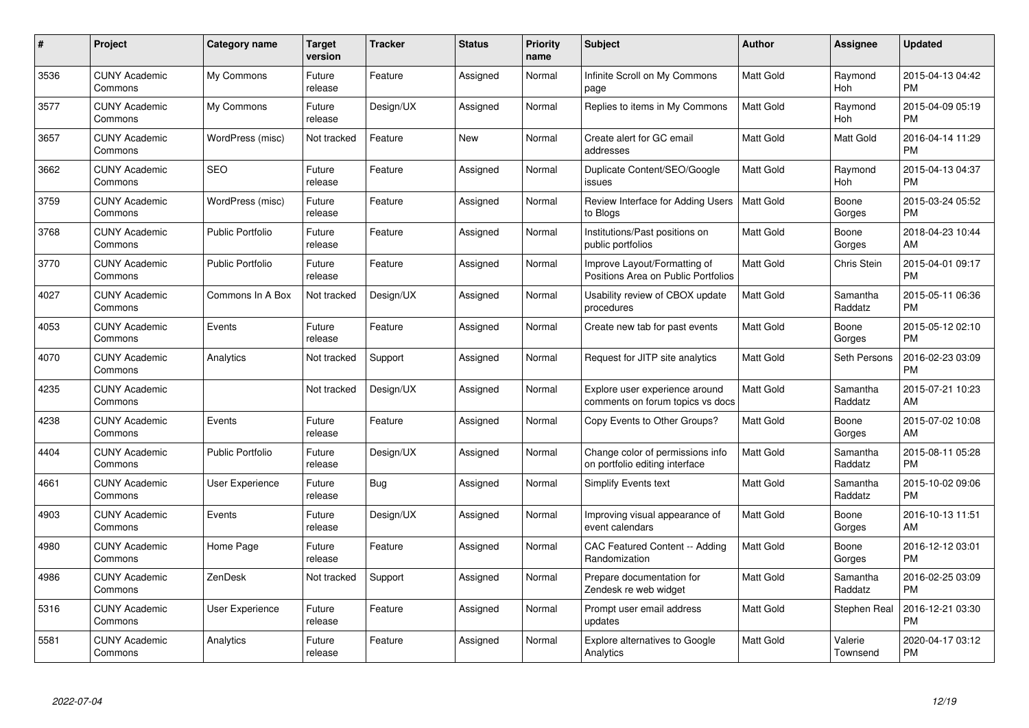| $\#$ | Project                         | <b>Category name</b>    | Target<br>version | <b>Tracker</b> | <b>Status</b> | Priority<br>name | <b>Subject</b>                                                      | <b>Author</b>    | <b>Assignee</b>     | <b>Updated</b>                |
|------|---------------------------------|-------------------------|-------------------|----------------|---------------|------------------|---------------------------------------------------------------------|------------------|---------------------|-------------------------------|
| 3536 | <b>CUNY Academic</b><br>Commons | My Commons              | Future<br>release | Feature        | Assigned      | Normal           | Infinite Scroll on My Commons<br>page                               | <b>Matt Gold</b> | Raymond<br>Hoh      | 2015-04-13 04:42<br><b>PM</b> |
| 3577 | <b>CUNY Academic</b><br>Commons | My Commons              | Future<br>release | Design/UX      | Assigned      | Normal           | Replies to items in My Commons                                      | <b>Matt Gold</b> | Raymond<br>Hoh      | 2015-04-09 05:19<br><b>PM</b> |
| 3657 | <b>CUNY Academic</b><br>Commons | WordPress (misc)        | Not tracked       | Feature        | <b>New</b>    | Normal           | Create alert for GC email<br>addresses                              | Matt Gold        | Matt Gold           | 2016-04-14 11:29<br><b>PM</b> |
| 3662 | <b>CUNY Academic</b><br>Commons | <b>SEO</b>              | Future<br>release | Feature        | Assigned      | Normal           | Duplicate Content/SEO/Google<br>issues                              | Matt Gold        | Raymond<br>Hoh      | 2015-04-13 04:37<br><b>PM</b> |
| 3759 | <b>CUNY Academic</b><br>Commons | WordPress (misc)        | Future<br>release | Feature        | Assigned      | Normal           | Review Interface for Adding Users<br>to Blogs                       | <b>Matt Gold</b> | Boone<br>Gorges     | 2015-03-24 05:52<br><b>PM</b> |
| 3768 | <b>CUNY Academic</b><br>Commons | <b>Public Portfolio</b> | Future<br>release | Feature        | Assigned      | Normal           | Institutions/Past positions on<br>public portfolios                 | <b>Matt Gold</b> | Boone<br>Gorges     | 2018-04-23 10:44<br>AM        |
| 3770 | <b>CUNY Academic</b><br>Commons | <b>Public Portfolio</b> | Future<br>release | Feature        | Assigned      | Normal           | Improve Layout/Formatting of<br>Positions Area on Public Portfolios | <b>Matt Gold</b> | <b>Chris Stein</b>  | 2015-04-01 09:17<br><b>PM</b> |
| 4027 | <b>CUNY Academic</b><br>Commons | Commons In A Box        | Not tracked       | Design/UX      | Assigned      | Normal           | Usability review of CBOX update<br>procedures                       | <b>Matt Gold</b> | Samantha<br>Raddatz | 2015-05-11 06:36<br><b>PM</b> |
| 4053 | <b>CUNY Academic</b><br>Commons | Events                  | Future<br>release | Feature        | Assigned      | Normal           | Create new tab for past events                                      | <b>Matt Gold</b> | Boone<br>Gorges     | 2015-05-12 02:10<br><b>PM</b> |
| 4070 | <b>CUNY Academic</b><br>Commons | Analytics               | Not tracked       | Support        | Assigned      | Normal           | Request for JITP site analytics                                     | <b>Matt Gold</b> | Seth Persons        | 2016-02-23 03:09<br><b>PM</b> |
| 4235 | <b>CUNY Academic</b><br>Commons |                         | Not tracked       | Design/UX      | Assigned      | Normal           | Explore user experience around<br>comments on forum topics vs docs  | <b>Matt Gold</b> | Samantha<br>Raddatz | 2015-07-21 10:23<br>AM        |
| 4238 | <b>CUNY Academic</b><br>Commons | Events                  | Future<br>release | Feature        | Assigned      | Normal           | Copy Events to Other Groups?                                        | Matt Gold        | Boone<br>Gorges     | 2015-07-02 10:08<br>AM        |
| 4404 | <b>CUNY Academic</b><br>Commons | <b>Public Portfolio</b> | Future<br>release | Design/UX      | Assigned      | Normal           | Change color of permissions info<br>on portfolio editing interface  | <b>Matt Gold</b> | Samantha<br>Raddatz | 2015-08-11 05:28<br><b>PM</b> |
| 4661 | <b>CUNY Academic</b><br>Commons | User Experience         | Future<br>release | Bug            | Assigned      | Normal           | Simplify Events text                                                | <b>Matt Gold</b> | Samantha<br>Raddatz | 2015-10-02 09:06<br><b>PM</b> |
| 4903 | <b>CUNY Academic</b><br>Commons | Events                  | Future<br>release | Design/UX      | Assigned      | Normal           | Improving visual appearance of<br>event calendars                   | Matt Gold        | Boone<br>Gorges     | 2016-10-13 11:51<br>AM        |
| 4980 | <b>CUNY Academic</b><br>Commons | Home Page               | Future<br>release | Feature        | Assigned      | Normal           | CAC Featured Content -- Adding<br>Randomization                     | Matt Gold        | Boone<br>Gorges     | 2016-12-12 03:01<br><b>PM</b> |
| 4986 | <b>CUNY Academic</b><br>Commons | ZenDesk                 | Not tracked       | Support        | Assigned      | Normal           | Prepare documentation for<br>Zendesk re web widget                  | <b>Matt Gold</b> | Samantha<br>Raddatz | 2016-02-25 03:09<br><b>PM</b> |
| 5316 | <b>CUNY Academic</b><br>Commons | User Experience         | Future<br>release | Feature        | Assigned      | Normal           | Prompt user email address<br>updates                                | Matt Gold        | Stephen Real        | 2016-12-21 03:30<br><b>PM</b> |
| 5581 | CUNY Academic<br>Commons        | Analytics               | Future<br>release | Feature        | Assigned      | Normal           | Explore alternatives to Google<br>Analytics                         | <b>Matt Gold</b> | Valerie<br>Townsend | 2020-04-17 03:12<br><b>PM</b> |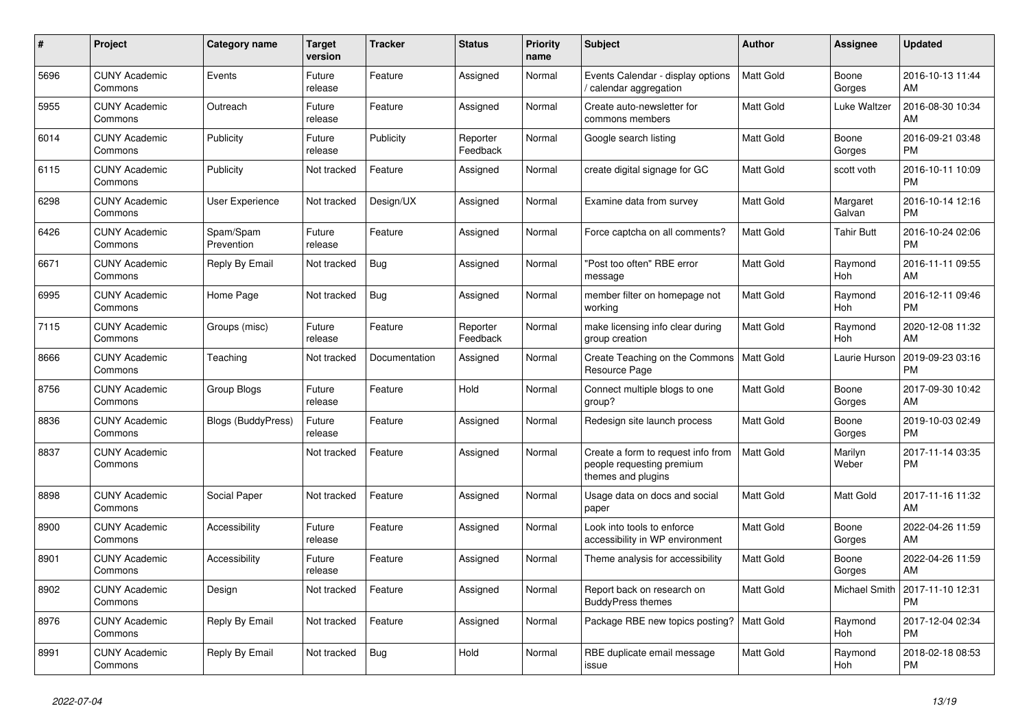| #    | Project                         | <b>Category name</b>      | <b>Target</b><br>version | <b>Tracker</b> | <b>Status</b>        | <b>Priority</b><br>name | <b>Subject</b>                                                                        | <b>Author</b>    | Assignee           | <b>Updated</b>                |
|------|---------------------------------|---------------------------|--------------------------|----------------|----------------------|-------------------------|---------------------------------------------------------------------------------------|------------------|--------------------|-------------------------------|
| 5696 | <b>CUNY Academic</b><br>Commons | Events                    | Future<br>release        | Feature        | Assigned             | Normal                  | Events Calendar - display options<br>/ calendar aggregation                           | <b>Matt Gold</b> | Boone<br>Gorges    | 2016-10-13 11:44<br>AM        |
| 5955 | <b>CUNY Academic</b><br>Commons | Outreach                  | Future<br>release        | Feature        | Assigned             | Normal                  | Create auto-newsletter for<br>commons members                                         | <b>Matt Gold</b> | Luke Waltzer       | 2016-08-30 10:34<br>AM        |
| 6014 | <b>CUNY Academic</b><br>Commons | Publicity                 | Future<br>release        | Publicity      | Reporter<br>Feedback | Normal                  | Google search listing                                                                 | Matt Gold        | Boone<br>Gorges    | 2016-09-21 03:48<br><b>PM</b> |
| 6115 | <b>CUNY Academic</b><br>Commons | Publicity                 | Not tracked              | Feature        | Assigned             | Normal                  | create digital signage for GC                                                         | <b>Matt Gold</b> | scott voth         | 2016-10-11 10:09<br><b>PM</b> |
| 6298 | <b>CUNY Academic</b><br>Commons | <b>User Experience</b>    | Not tracked              | Design/UX      | Assigned             | Normal                  | Examine data from survey                                                              | <b>Matt Gold</b> | Margaret<br>Galvan | 2016-10-14 12:16<br><b>PM</b> |
| 6426 | <b>CUNY Academic</b><br>Commons | Spam/Spam<br>Prevention   | Future<br>release        | Feature        | Assigned             | Normal                  | Force captcha on all comments?                                                        | Matt Gold        | Tahir Butt         | 2016-10-24 02:06<br><b>PM</b> |
| 6671 | <b>CUNY Academic</b><br>Commons | Reply By Email            | Not tracked              | Bug            | Assigned             | Normal                  | "Post too often" RBE error<br>message                                                 | <b>Matt Gold</b> | Raymond<br>Hoh     | 2016-11-11 09:55<br>AM        |
| 6995 | <b>CUNY Academic</b><br>Commons | Home Page                 | Not tracked              | Bug            | Assigned             | Normal                  | member filter on homepage not<br>working                                              | <b>Matt Gold</b> | Raymond<br>Hoh     | 2016-12-11 09:46<br><b>PM</b> |
| 7115 | <b>CUNY Academic</b><br>Commons | Groups (misc)             | Future<br>release        | Feature        | Reporter<br>Feedback | Normal                  | make licensing info clear during<br>group creation                                    | Matt Gold        | Raymond<br>Hoh     | 2020-12-08 11:32<br>AM        |
| 8666 | <b>CUNY Academic</b><br>Commons | Teaching                  | Not tracked              | Documentation  | Assigned             | Normal                  | Create Teaching on the Commons<br>Resource Page                                       | <b>Matt Gold</b> | Laurie Hurson      | 2019-09-23 03:16<br><b>PM</b> |
| 8756 | <b>CUNY Academic</b><br>Commons | Group Blogs               | Future<br>release        | Feature        | Hold                 | Normal                  | Connect multiple blogs to one<br>group?                                               | <b>Matt Gold</b> | Boone<br>Gorges    | 2017-09-30 10:42<br>AM        |
| 8836 | <b>CUNY Academic</b><br>Commons | <b>Blogs (BuddyPress)</b> | Future<br>release        | Feature        | Assigned             | Normal                  | Redesign site launch process                                                          | Matt Gold        | Boone<br>Gorges    | 2019-10-03 02:49<br><b>PM</b> |
| 8837 | <b>CUNY Academic</b><br>Commons |                           | Not tracked              | Feature        | Assigned             | Normal                  | Create a form to request info from<br>people requesting premium<br>themes and plugins | <b>Matt Gold</b> | Marilyn<br>Weber   | 2017-11-14 03:35<br><b>PM</b> |
| 8898 | <b>CUNY Academic</b><br>Commons | Social Paper              | Not tracked              | Feature        | Assigned             | Normal                  | Usage data on docs and social<br>paper                                                | Matt Gold        | Matt Gold          | 2017-11-16 11:32<br>AM        |
| 8900 | <b>CUNY Academic</b><br>Commons | Accessibility             | Future<br>release        | Feature        | Assigned             | Normal                  | Look into tools to enforce<br>accessibility in WP environment                         | Matt Gold        | Boone<br>Gorges    | 2022-04-26 11:59<br>AM        |
| 8901 | <b>CUNY Academic</b><br>Commons | Accessibility             | Future<br>release        | Feature        | Assigned             | Normal                  | Theme analysis for accessibility                                                      | <b>Matt Gold</b> | Boone<br>Gorges    | 2022-04-26 11:59<br>AM        |
| 8902 | <b>CUNY Academic</b><br>Commons | Design                    | Not tracked              | Feature        | Assigned             | Normal                  | Report back on research on<br><b>BuddyPress themes</b>                                | <b>Matt Gold</b> | Michael Smith      | 2017-11-10 12:31<br><b>PM</b> |
| 8976 | <b>CUNY Academic</b><br>Commons | Reply By Email            | Not tracked              | Feature        | Assigned             | Normal                  | Package RBE new topics posting?                                                       | Matt Gold        | Raymond<br>Hoh     | 2017-12-04 02:34<br><b>PM</b> |
| 8991 | <b>CUNY Academic</b><br>Commons | Reply By Email            | Not tracked              | <b>Bug</b>     | Hold                 | Normal                  | RBE duplicate email message<br>issue                                                  | <b>Matt Gold</b> | Raymond<br>Hoh     | 2018-02-18 08:53<br><b>PM</b> |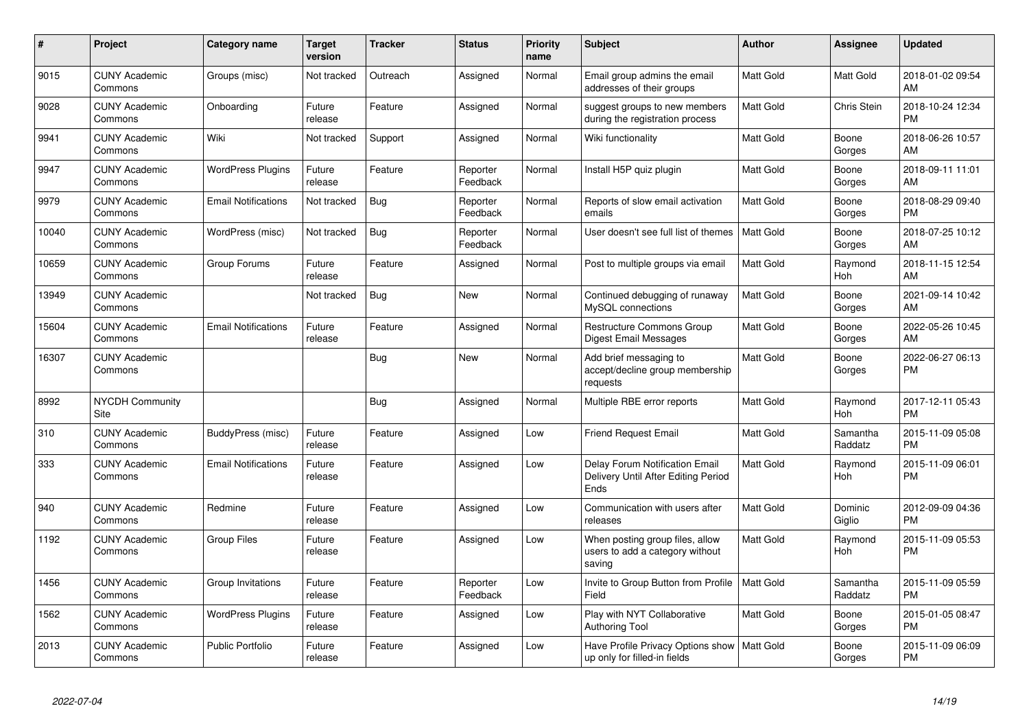| $\#$  | Project                         | <b>Category name</b>       | <b>Target</b><br>version | <b>Tracker</b> | <b>Status</b>        | <b>Priority</b><br>name | <b>Subject</b>                                                                | <b>Author</b>    | Assignee            | <b>Updated</b>                |
|-------|---------------------------------|----------------------------|--------------------------|----------------|----------------------|-------------------------|-------------------------------------------------------------------------------|------------------|---------------------|-------------------------------|
| 9015  | <b>CUNY Academic</b><br>Commons | Groups (misc)              | Not tracked              | Outreach       | Assigned             | Normal                  | Email group admins the email<br>addresses of their groups                     | <b>Matt Gold</b> | Matt Gold           | 2018-01-02 09:54<br>AM        |
| 9028  | <b>CUNY Academic</b><br>Commons | Onboarding                 | Future<br>release        | Feature        | Assigned             | Normal                  | suggest groups to new members<br>during the registration process              | <b>Matt Gold</b> | Chris Stein         | 2018-10-24 12:34<br><b>PM</b> |
| 9941  | <b>CUNY Academic</b><br>Commons | Wiki                       | Not tracked              | Support        | Assigned             | Normal                  | Wiki functionality                                                            | Matt Gold        | Boone<br>Gorges     | 2018-06-26 10:57<br>AM        |
| 9947  | <b>CUNY Academic</b><br>Commons | <b>WordPress Plugins</b>   | Future<br>release        | Feature        | Reporter<br>Feedback | Normal                  | Install H5P quiz plugin                                                       | <b>Matt Gold</b> | Boone<br>Gorges     | 2018-09-11 11:01<br>AM        |
| 9979  | <b>CUNY Academic</b><br>Commons | <b>Email Notifications</b> | Not tracked              | <b>Bug</b>     | Reporter<br>Feedback | Normal                  | Reports of slow email activation<br>emails                                    | Matt Gold        | Boone<br>Gorges     | 2018-08-29 09:40<br><b>PM</b> |
| 10040 | <b>CUNY Academic</b><br>Commons | WordPress (misc)           | Not tracked              | Bug            | Reporter<br>Feedback | Normal                  | User doesn't see full list of themes                                          | <b>Matt Gold</b> | Boone<br>Gorges     | 2018-07-25 10:12<br>AM        |
| 10659 | <b>CUNY Academic</b><br>Commons | Group Forums               | Future<br>release        | Feature        | Assigned             | Normal                  | Post to multiple groups via email                                             | <b>Matt Gold</b> | Raymond<br>Hoh      | 2018-11-15 12:54<br>AM        |
| 13949 | <b>CUNY Academic</b><br>Commons |                            | Not tracked              | Bug            | <b>New</b>           | Normal                  | Continued debugging of runaway<br>MySQL connections                           | <b>Matt Gold</b> | Boone<br>Gorges     | 2021-09-14 10:42<br>AM        |
| 15604 | <b>CUNY Academic</b><br>Commons | <b>Email Notifications</b> | Future<br>release        | Feature        | Assigned             | Normal                  | <b>Restructure Commons Group</b><br><b>Digest Email Messages</b>              | <b>Matt Gold</b> | Boone<br>Gorges     | 2022-05-26 10:45<br>AM        |
| 16307 | <b>CUNY Academic</b><br>Commons |                            |                          | Bug            | <b>New</b>           | Normal                  | Add brief messaging to<br>accept/decline group membership<br>requests         | Matt Gold        | Boone<br>Gorges     | 2022-06-27 06:13<br><b>PM</b> |
| 8992  | <b>NYCDH Community</b><br>Site  |                            |                          | Bug            | Assigned             | Normal                  | Multiple RBE error reports                                                    | <b>Matt Gold</b> | Raymond<br>Hoh      | 2017-12-11 05:43<br><b>PM</b> |
| 310   | <b>CUNY Academic</b><br>Commons | BuddyPress (misc)          | Future<br>release        | Feature        | Assigned             | Low                     | <b>Friend Request Email</b>                                                   | Matt Gold        | Samantha<br>Raddatz | 2015-11-09 05:08<br><b>PM</b> |
| 333   | <b>CUNY Academic</b><br>Commons | <b>Email Notifications</b> | Future<br>release        | Feature        | Assigned             | Low                     | Delay Forum Notification Email<br>Delivery Until After Editing Period<br>Ends | <b>Matt Gold</b> | Raymond<br>Hoh      | 2015-11-09 06:01<br><b>PM</b> |
| 940   | <b>CUNY Academic</b><br>Commons | Redmine                    | Future<br>release        | Feature        | Assigned             | Low                     | Communication with users after<br>releases                                    | <b>Matt Gold</b> | Dominic<br>Giglio   | 2012-09-09 04:36<br><b>PM</b> |
| 1192  | <b>CUNY Academic</b><br>Commons | <b>Group Files</b>         | Future<br>release        | Feature        | Assigned             | Low                     | When posting group files, allow<br>users to add a category without<br>saving  | Matt Gold        | Raymond<br>Hoh      | 2015-11-09 05:53<br><b>PM</b> |
| 1456  | <b>CUNY Academic</b><br>Commons | Group Invitations          | Future<br>release        | Feature        | Reporter<br>Feedback | Low                     | Invite to Group Button from Profile<br>Field                                  | <b>Matt Gold</b> | Samantha<br>Raddatz | 2015-11-09 05:59<br><b>PM</b> |
| 1562  | <b>CUNY Academic</b><br>Commons | <b>WordPress Plugins</b>   | Future<br>release        | Feature        | Assigned             | Low                     | Play with NYT Collaborative<br><b>Authoring Tool</b>                          | <b>Matt Gold</b> | Boone<br>Gorges     | 2015-01-05 08:47<br><b>PM</b> |
| 2013  | <b>CUNY Academic</b><br>Commons | <b>Public Portfolio</b>    | Future<br>release        | Feature        | Assigned             | Low                     | Have Profile Privacy Options show<br>up only for filled-in fields             | <b>Matt Gold</b> | Boone<br>Gorges     | 2015-11-09 06:09<br><b>PM</b> |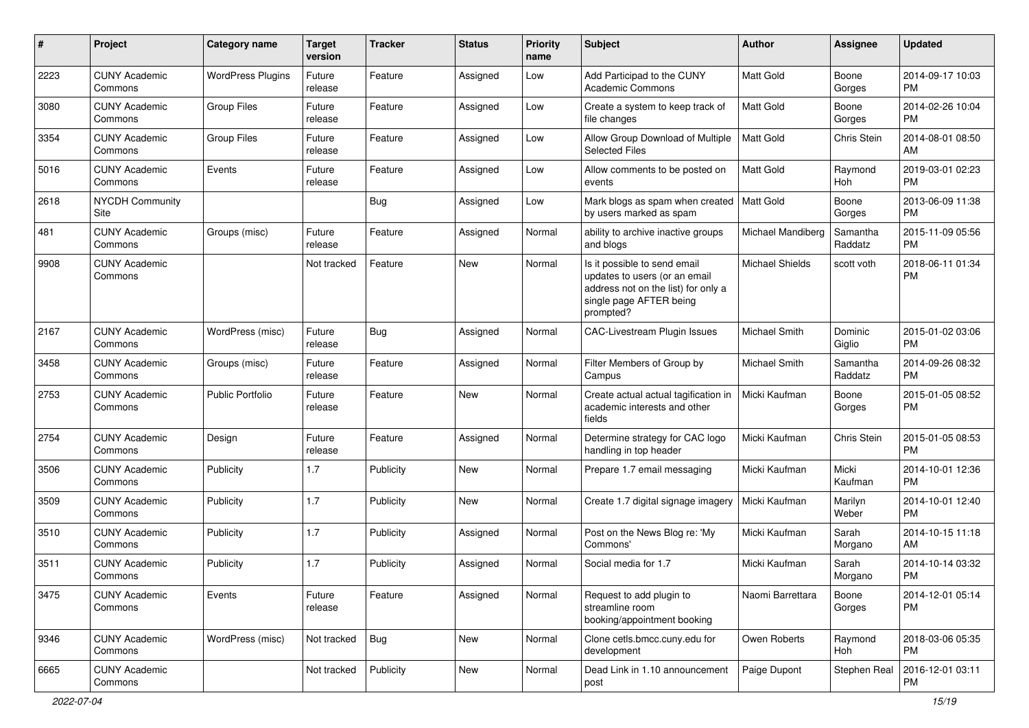| #    | Project                         | Category name            | <b>Target</b><br>version | Tracker   | <b>Status</b> | Priority<br>name | <b>Subject</b>                                                                                                                               | Author               | Assignee            | <b>Updated</b>                |
|------|---------------------------------|--------------------------|--------------------------|-----------|---------------|------------------|----------------------------------------------------------------------------------------------------------------------------------------------|----------------------|---------------------|-------------------------------|
| 2223 | <b>CUNY Academic</b><br>Commons | <b>WordPress Plugins</b> | Future<br>release        | Feature   | Assigned      | Low              | Add Participad to the CUNY<br><b>Academic Commons</b>                                                                                        | <b>Matt Gold</b>     | Boone<br>Gorges     | 2014-09-17 10:03<br><b>PM</b> |
| 3080 | <b>CUNY Academic</b><br>Commons | <b>Group Files</b>       | Future<br>release        | Feature   | Assigned      | Low              | Create a system to keep track of<br>file changes                                                                                             | Matt Gold            | Boone<br>Gorges     | 2014-02-26 10:04<br><b>PM</b> |
| 3354 | <b>CUNY Academic</b><br>Commons | <b>Group Files</b>       | Future<br>release        | Feature   | Assigned      | Low              | Allow Group Download of Multiple<br><b>Selected Files</b>                                                                                    | <b>Matt Gold</b>     | Chris Stein         | 2014-08-01 08:50<br>AM        |
| 5016 | <b>CUNY Academic</b><br>Commons | Events                   | Future<br>release        | Feature   | Assigned      | Low              | Allow comments to be posted on<br>events                                                                                                     | Matt Gold            | Raymond<br>Hoh      | 2019-03-01 02:23<br><b>PM</b> |
| 2618 | NYCDH Community<br>Site         |                          |                          | Bug       | Assigned      | Low              | Mark blogs as spam when created   Matt Gold<br>by users marked as spam                                                                       |                      | Boone<br>Gorges     | 2013-06-09 11:38<br><b>PM</b> |
| 481  | <b>CUNY Academic</b><br>Commons | Groups (misc)            | Future<br>release        | Feature   | Assigned      | Normal           | ability to archive inactive groups<br>and blogs                                                                                              | Michael Mandiberg    | Samantha<br>Raddatz | 2015-11-09 05:56<br><b>PM</b> |
| 9908 | <b>CUNY Academic</b><br>Commons |                          | Not tracked              | Feature   | New           | Normal           | Is it possible to send email<br>updates to users (or an email<br>address not on the list) for only a<br>single page AFTER being<br>prompted? | Michael Shields      | scott voth          | 2018-06-11 01:34<br><b>PM</b> |
| 2167 | <b>CUNY Academic</b><br>Commons | WordPress (misc)         | Future<br>release        | Bug       | Assigned      | Normal           | CAC-Livestream Plugin Issues                                                                                                                 | <b>Michael Smith</b> | Dominic<br>Giglio   | 2015-01-02 03:06<br><b>PM</b> |
| 3458 | <b>CUNY Academic</b><br>Commons | Groups (misc)            | Future<br>release        | Feature   | Assigned      | Normal           | Filter Members of Group by<br>Campus                                                                                                         | Michael Smith        | Samantha<br>Raddatz | 2014-09-26 08:32<br><b>PM</b> |
| 2753 | <b>CUNY Academic</b><br>Commons | <b>Public Portfolio</b>  | Future<br>release        | Feature   | New           | Normal           | Create actual actual tagification in<br>academic interests and other<br>fields                                                               | Micki Kaufman        | Boone<br>Gorges     | 2015-01-05 08:52<br><b>PM</b> |
| 2754 | <b>CUNY Academic</b><br>Commons | Design                   | Future<br>release        | Feature   | Assigned      | Normal           | Determine strategy for CAC logo<br>handling in top header                                                                                    | Micki Kaufman        | Chris Stein         | 2015-01-05 08:53<br><b>PM</b> |
| 3506 | <b>CUNY Academic</b><br>Commons | Publicity                | 1.7                      | Publicity | <b>New</b>    | Normal           | Prepare 1.7 email messaging                                                                                                                  | Micki Kaufman        | Micki<br>Kaufman    | 2014-10-01 12:36<br><b>PM</b> |
| 3509 | <b>CUNY Academic</b><br>Commons | Publicity                | 1.7                      | Publicity | <b>New</b>    | Normal           | Create 1.7 digital signage imagery                                                                                                           | Micki Kaufman        | Marilyn<br>Weber    | 2014-10-01 12:40<br><b>PM</b> |
| 3510 | <b>CUNY Academic</b><br>Commons | Publicity                | 1.7                      | Publicity | Assigned      | Normal           | Post on the News Blog re: 'My<br>Commons'                                                                                                    | Micki Kaufman        | Sarah<br>Morgano    | 2014-10-15 11:18<br>AM        |
| 3511 | <b>CUNY Academic</b><br>Commons | Publicity                | 1.7                      | Publicity | Assigned      | Normal           | Social media for 1.7                                                                                                                         | Micki Kaufman        | Sarah<br>Morgano    | 2014-10-14 03:32<br><b>PM</b> |
| 3475 | <b>CUNY Academic</b><br>Commons | Events                   | Future<br>release        | Feature   | Assigned      | Normal           | Request to add plugin to<br>streamline room<br>booking/appointment booking                                                                   | Naomi Barrettara     | Boone<br>Gorges     | 2014-12-01 05:14<br><b>PM</b> |
| 9346 | <b>CUNY Academic</b><br>Commons | WordPress (misc)         | Not tracked              | Bug       | New           | Normal           | Clone cetls.bmcc.cuny.edu for<br>development                                                                                                 | Owen Roberts         | Raymond<br>Hoh      | 2018-03-06 05:35<br><b>PM</b> |
| 6665 | <b>CUNY Academic</b><br>Commons |                          | Not tracked              | Publicity | New           | Normal           | Dead Link in 1.10 announcement<br>post                                                                                                       | Paige Dupont         | Stephen Real        | 2016-12-01 03:11<br>PM        |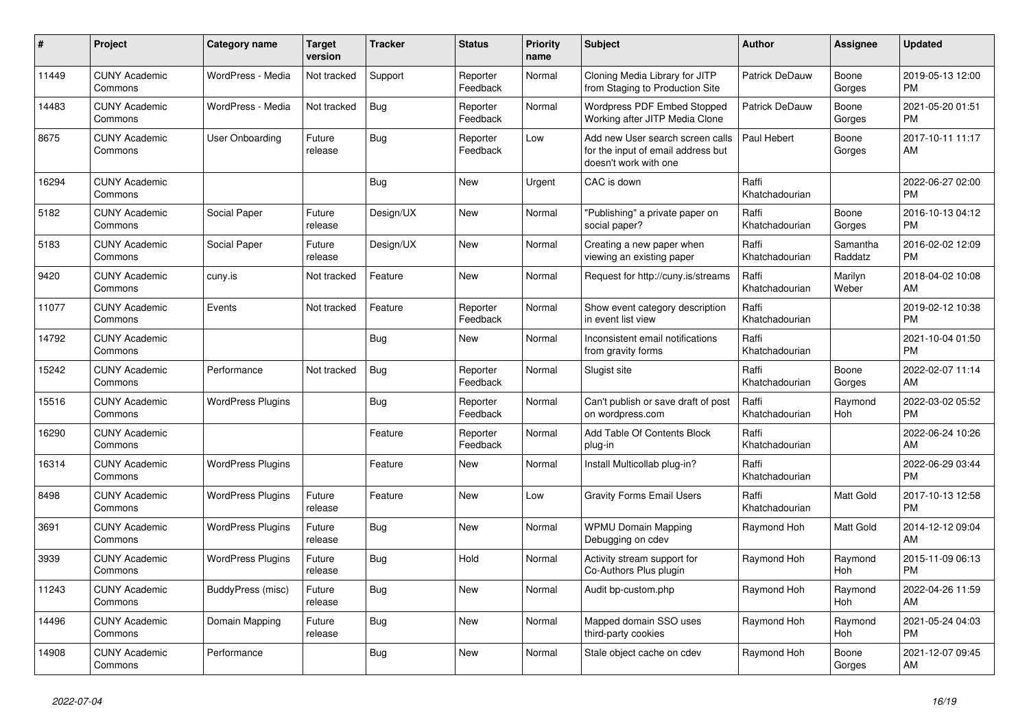| #     | Project                         | <b>Category name</b>     | <b>Target</b><br>version | <b>Tracker</b> | <b>Status</b>        | <b>Priority</b><br>name | <b>Subject</b>                                                                                  | <b>Author</b>           | Assignee              | <b>Updated</b>                |
|-------|---------------------------------|--------------------------|--------------------------|----------------|----------------------|-------------------------|-------------------------------------------------------------------------------------------------|-------------------------|-----------------------|-------------------------------|
| 11449 | <b>CUNY Academic</b><br>Commons | WordPress - Media        | Not tracked              | Support        | Reporter<br>Feedback | Normal                  | Cloning Media Library for JITP<br>from Staging to Production Site                               | Patrick DeDauw          | Boone<br>Gorges       | 2019-05-13 12:00<br><b>PM</b> |
| 14483 | <b>CUNY Academic</b><br>Commons | WordPress - Media        | Not tracked              | Bug            | Reporter<br>Feedback | Normal                  | Wordpress PDF Embed Stopped<br>Working after JITP Media Clone                                   | Patrick DeDauw          | Boone<br>Gorges       | 2021-05-20 01:51<br><b>PM</b> |
| 8675  | <b>CUNY Academic</b><br>Commons | User Onboarding          | Future<br>release        | Bug            | Reporter<br>Feedback | Low                     | Add new User search screen calls<br>for the input of email address but<br>doesn't work with one | Paul Hebert             | Boone<br>Gorges       | 2017-10-11 11:17<br>AM        |
| 16294 | <b>CUNY Academic</b><br>Commons |                          |                          | Bug            | <b>New</b>           | Urgent                  | CAC is down                                                                                     | Raffi<br>Khatchadourian |                       | 2022-06-27 02:00<br><b>PM</b> |
| 5182  | <b>CUNY Academic</b><br>Commons | Social Paper             | Future<br>release        | Design/UX      | New                  | Normal                  | "Publishing" a private paper on<br>social paper?                                                | Raffi<br>Khatchadourian | Boone<br>Gorges       | 2016-10-13 04:12<br><b>PM</b> |
| 5183  | <b>CUNY Academic</b><br>Commons | Social Paper             | Future<br>release        | Design/UX      | New                  | Normal                  | Creating a new paper when<br>viewing an existing paper                                          | Raffi<br>Khatchadourian | Samantha<br>Raddatz   | 2016-02-02 12:09<br><b>PM</b> |
| 9420  | <b>CUNY Academic</b><br>Commons | cuny.is                  | Not tracked              | Feature        | <b>New</b>           | Normal                  | Request for http://cuny.is/streams                                                              | Raffi<br>Khatchadourian | Marilyn<br>Weber      | 2018-04-02 10:08<br>AM        |
| 11077 | <b>CUNY Academic</b><br>Commons | Events                   | Not tracked              | Feature        | Reporter<br>Feedback | Normal                  | Show event category description<br>in event list view                                           | Raffi<br>Khatchadourian |                       | 2019-02-12 10:38<br><b>PM</b> |
| 14792 | <b>CUNY Academic</b><br>Commons |                          |                          | Bug            | New                  | Normal                  | Inconsistent email notifications<br>from gravity forms                                          | Raffi<br>Khatchadourian |                       | 2021-10-04 01:50<br><b>PM</b> |
| 15242 | <b>CUNY Academic</b><br>Commons | Performance              | Not tracked              | Bug            | Reporter<br>Feedback | Normal                  | Slugist site                                                                                    | Raffi<br>Khatchadourian | Boone<br>Gorges       | 2022-02-07 11:14<br>AM        |
| 15516 | <b>CUNY Academic</b><br>Commons | <b>WordPress Plugins</b> |                          | Bug            | Reporter<br>Feedback | Normal                  | Can't publish or save draft of post<br>on wordpress.com                                         | Raffi<br>Khatchadourian | Raymond<br><b>Hoh</b> | 2022-03-02 05:52<br><b>PM</b> |
| 16290 | <b>CUNY Academic</b><br>Commons |                          |                          | Feature        | Reporter<br>Feedback | Normal                  | Add Table Of Contents Block<br>plug-in                                                          | Raffi<br>Khatchadourian |                       | 2022-06-24 10:26<br>AM        |
| 16314 | <b>CUNY Academic</b><br>Commons | <b>WordPress Plugins</b> |                          | Feature        | New                  | Normal                  | Install Multicollab plug-in?                                                                    | Raffi<br>Khatchadourian |                       | 2022-06-29 03:44<br><b>PM</b> |
| 8498  | <b>CUNY Academic</b><br>Commons | <b>WordPress Plugins</b> | Future<br>release        | Feature        | New                  | Low                     | <b>Gravity Forms Email Users</b>                                                                | Raffi<br>Khatchadourian | Matt Gold             | 2017-10-13 12:58<br><b>PM</b> |
| 3691  | <b>CUNY Academic</b><br>Commons | <b>WordPress Plugins</b> | Future<br>release        | Bug            | <b>New</b>           | Normal                  | <b>WPMU Domain Mapping</b><br>Debugging on cdev                                                 | Raymond Hoh             | Matt Gold             | 2014-12-12 09:04<br>AM        |
| 3939  | <b>CUNY Academic</b><br>Commons | <b>WordPress Plugins</b> | Future<br>release        | Bug            | Hold                 | Normal                  | Activity stream support for<br>Co-Authors Plus plugin                                           | Raymond Hoh             | Raymond<br>Hoh        | 2015-11-09 06:13<br><b>PM</b> |
| 11243 | <b>CUNY Academic</b><br>Commons | BuddyPress (misc)        | Future<br>release        | Bug            | <b>New</b>           | Normal                  | Audit bp-custom.php                                                                             | Raymond Hoh             | Raymond<br>Hoh        | 2022-04-26 11:59<br>AM        |
| 14496 | <b>CUNY Academic</b><br>Commons | Domain Mapping           | Future<br>release        | Bug            | New                  | Normal                  | Mapped domain SSO uses<br>third-party cookies                                                   | Raymond Hoh             | Raymond<br>Hoh        | 2021-05-24 04:03<br><b>PM</b> |
| 14908 | <b>CUNY Academic</b><br>Commons | Performance              |                          | <b>Bug</b>     | <b>New</b>           | Normal                  | Stale object cache on cdev                                                                      | Raymond Hoh             | Boone<br>Gorges       | 2021-12-07 09:45<br>AM        |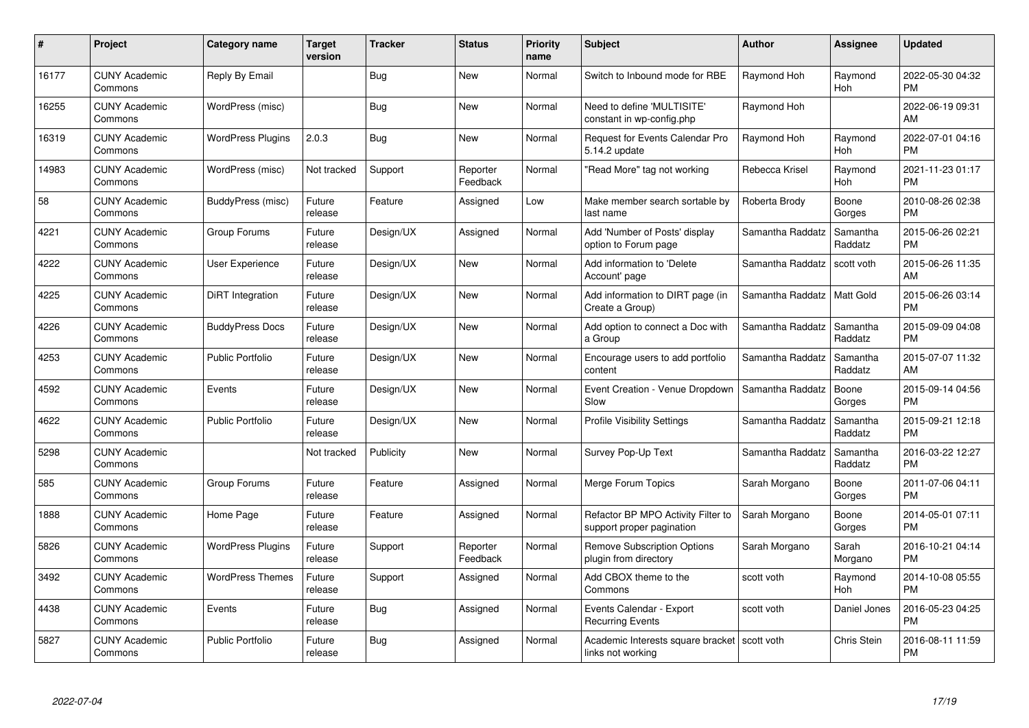| #     | Project                         | <b>Category name</b>     | <b>Target</b><br>version | <b>Tracker</b> | <b>Status</b>        | Priority<br>name | <b>Subject</b>                                                  | <b>Author</b>    | <b>Assignee</b>     | <b>Updated</b>                |
|-------|---------------------------------|--------------------------|--------------------------|----------------|----------------------|------------------|-----------------------------------------------------------------|------------------|---------------------|-------------------------------|
| 16177 | <b>CUNY Academic</b><br>Commons | Reply By Email           |                          | Bug            | <b>New</b>           | Normal           | Switch to Inbound mode for RBE                                  | Raymond Hoh      | Raymond<br>Hoh      | 2022-05-30 04:32<br><b>PM</b> |
| 16255 | <b>CUNY Academic</b><br>Commons | WordPress (misc)         |                          | <b>Bug</b>     | <b>New</b>           | Normal           | Need to define 'MULTISITE'<br>constant in wp-config.php         | Raymond Hoh      |                     | 2022-06-19 09:31<br>AM        |
| 16319 | <b>CUNY Academic</b><br>Commons | <b>WordPress Plugins</b> | 2.0.3                    | Bug            | <b>New</b>           | Normal           | Request for Events Calendar Pro<br>5.14.2 update                | Raymond Hoh      | Raymond<br>Hoh      | 2022-07-01 04:16<br><b>PM</b> |
| 14983 | <b>CUNY Academic</b><br>Commons | WordPress (misc)         | Not tracked              | Support        | Reporter<br>Feedback | Normal           | "Read More" tag not working                                     | Rebecca Krisel   | Raymond<br>Hoh      | 2021-11-23 01:17<br><b>PM</b> |
| 58    | <b>CUNY Academic</b><br>Commons | BuddyPress (misc)        | Future<br>release        | Feature        | Assigned             | Low              | Make member search sortable by<br>last name                     | Roberta Brody    | Boone<br>Gorges     | 2010-08-26 02:38<br><b>PM</b> |
| 4221  | <b>CUNY Academic</b><br>Commons | Group Forums             | Future<br>release        | Design/UX      | Assigned             | Normal           | Add 'Number of Posts' display<br>option to Forum page           | Samantha Raddatz | Samantha<br>Raddatz | 2015-06-26 02:21<br><b>PM</b> |
| 4222  | <b>CUNY Academic</b><br>Commons | <b>User Experience</b>   | Future<br>release        | Design/UX      | New                  | Normal           | Add information to 'Delete<br>Account' page                     | Samantha Raddatz | scott voth          | 2015-06-26 11:35<br>AM        |
| 4225  | <b>CUNY Academic</b><br>Commons | DiRT Integration         | Future<br>release        | Design/UX      | <b>New</b>           | Normal           | Add information to DIRT page (in<br>Create a Group)             | Samantha Raddatz | <b>Matt Gold</b>    | 2015-06-26 03:14<br><b>PM</b> |
| 4226  | <b>CUNY Academic</b><br>Commons | <b>BuddyPress Docs</b>   | Future<br>release        | Design/UX      | <b>New</b>           | Normal           | Add option to connect a Doc with<br>a Group                     | Samantha Raddatz | Samantha<br>Raddatz | 2015-09-09 04:08<br><b>PM</b> |
| 4253  | <b>CUNY Academic</b><br>Commons | <b>Public Portfolio</b>  | Future<br>release        | Design/UX      | New                  | Normal           | Encourage users to add portfolio<br>content                     | Samantha Raddatz | Samantha<br>Raddatz | 2015-07-07 11:32<br>AM        |
| 4592  | <b>CUNY Academic</b><br>Commons | Events                   | Future<br>release        | Design/UX      | <b>New</b>           | Normal           | Event Creation - Venue Dropdown<br>Slow                         | Samantha Raddatz | Boone<br>Gorges     | 2015-09-14 04:56<br><b>PM</b> |
| 4622  | <b>CUNY Academic</b><br>Commons | <b>Public Portfolio</b>  | Future<br>release        | Design/UX      | New                  | Normal           | <b>Profile Visibility Settings</b>                              | Samantha Raddatz | Samantha<br>Raddatz | 2015-09-21 12:18<br><b>PM</b> |
| 5298  | <b>CUNY Academic</b><br>Commons |                          | Not tracked              | Publicity      | <b>New</b>           | Normal           | Survey Pop-Up Text                                              | Samantha Raddatz | Samantha<br>Raddatz | 2016-03-22 12:27<br><b>PM</b> |
| 585   | <b>CUNY Academic</b><br>Commons | Group Forums             | Future<br>release        | Feature        | Assigned             | Normal           | Merge Forum Topics                                              | Sarah Morgano    | Boone<br>Gorges     | 2011-07-06 04:11<br><b>PM</b> |
| 1888  | <b>CUNY Academic</b><br>Commons | Home Page                | Future<br>release        | Feature        | Assigned             | Normal           | Refactor BP MPO Activity Filter to<br>support proper pagination | Sarah Morgano    | Boone<br>Gorges     | 2014-05-01 07:11<br><b>PM</b> |
| 5826  | <b>CUNY Academic</b><br>Commons | <b>WordPress Plugins</b> | Future<br>release        | Support        | Reporter<br>Feedback | Normal           | <b>Remove Subscription Options</b><br>plugin from directory     | Sarah Morgano    | Sarah<br>Morgano    | 2016-10-21 04:14<br><b>PM</b> |
| 3492  | <b>CUNY Academic</b><br>Commons | <b>WordPress Themes</b>  | Future<br>release        | Support        | Assigned             | Normal           | Add CBOX theme to the<br>Commons                                | scott voth       | Raymond<br>Hoh      | 2014-10-08 05:55<br><b>PM</b> |
| 4438  | <b>CUNY Academic</b><br>Commons | Events                   | Future<br>release        | Bug            | Assigned             | Normal           | Events Calendar - Export<br><b>Recurring Events</b>             | scott voth       | Daniel Jones        | 2016-05-23 04:25<br><b>PM</b> |
| 5827  | <b>CUNY Academic</b><br>Commons | <b>Public Portfolio</b>  | Future<br>release        | Bug            | Assigned             | Normal           | Academic Interests square bracket<br>links not working          | scott voth       | <b>Chris Stein</b>  | 2016-08-11 11:59<br><b>PM</b> |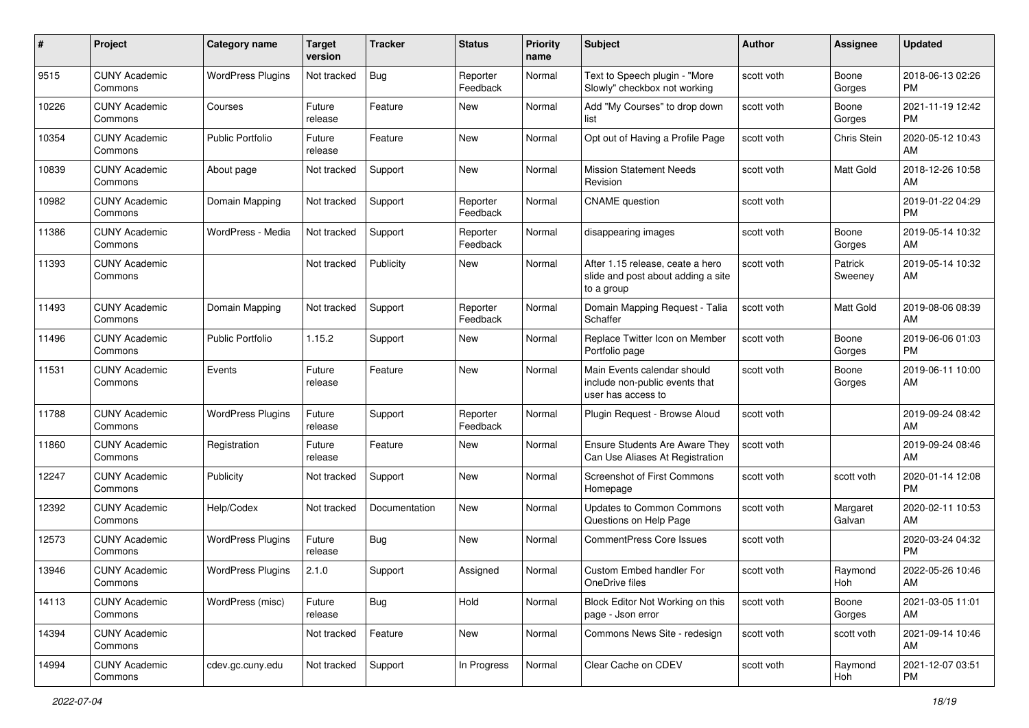| #     | Project                         | <b>Category name</b>     | <b>Target</b><br>version | Tracker       | <b>Status</b>        | Priority<br>name | <b>Subject</b>                                                                       | Author     | Assignee           | <b>Updated</b>                |
|-------|---------------------------------|--------------------------|--------------------------|---------------|----------------------|------------------|--------------------------------------------------------------------------------------|------------|--------------------|-------------------------------|
| 9515  | <b>CUNY Academic</b><br>Commons | <b>WordPress Plugins</b> | Not tracked              | Bug           | Reporter<br>Feedback | Normal           | Text to Speech plugin - "More<br>Slowly" checkbox not working                        | scott voth | Boone<br>Gorges    | 2018-06-13 02:26<br><b>PM</b> |
| 10226 | <b>CUNY Academic</b><br>Commons | Courses                  | Future<br>release        | Feature       | New                  | Normal           | Add "My Courses" to drop down<br>list                                                | scott voth | Boone<br>Gorges    | 2021-11-19 12:42<br><b>PM</b> |
| 10354 | <b>CUNY Academic</b><br>Commons | Public Portfolio         | Future<br>release        | Feature       | New                  | Normal           | Opt out of Having a Profile Page                                                     | scott voth | Chris Stein        | 2020-05-12 10:43<br>AM        |
| 10839 | <b>CUNY Academic</b><br>Commons | About page               | Not tracked              | Support       | New                  | Normal           | <b>Mission Statement Needs</b><br>Revision                                           | scott voth | Matt Gold          | 2018-12-26 10:58<br>AM        |
| 10982 | <b>CUNY Academic</b><br>Commons | Domain Mapping           | Not tracked              | Support       | Reporter<br>Feedback | Normal           | <b>CNAME</b> question                                                                | scott voth |                    | 2019-01-22 04:29<br><b>PM</b> |
| 11386 | <b>CUNY Academic</b><br>Commons | WordPress - Media        | Not tracked              | Support       | Reporter<br>Feedback | Normal           | disappearing images                                                                  | scott voth | Boone<br>Gorges    | 2019-05-14 10:32<br>AM        |
| 11393 | <b>CUNY Academic</b><br>Commons |                          | Not tracked              | Publicity     | New                  | Normal           | After 1.15 release, ceate a hero<br>slide and post about adding a site<br>to a group | scott voth | Patrick<br>Sweeney | 2019-05-14 10:32<br>AM        |
| 11493 | <b>CUNY Academic</b><br>Commons | Domain Mapping           | Not tracked              | Support       | Reporter<br>Feedback | Normal           | Domain Mapping Request - Talia<br>Schaffer                                           | scott voth | Matt Gold          | 2019-08-06 08:39<br>AM        |
| 11496 | <b>CUNY Academic</b><br>Commons | <b>Public Portfolio</b>  | 1.15.2                   | Support       | New                  | Normal           | Replace Twitter Icon on Member<br>Portfolio page                                     | scott voth | Boone<br>Gorges    | 2019-06-06 01:03<br><b>PM</b> |
| 11531 | <b>CUNY Academic</b><br>Commons | Events                   | Future<br>release        | Feature       | New                  | Normal           | Main Events calendar should<br>include non-public events that<br>user has access to  | scott voth | Boone<br>Gorges    | 2019-06-11 10:00<br>AM        |
| 11788 | <b>CUNY Academic</b><br>Commons | <b>WordPress Plugins</b> | Future<br>release        | Support       | Reporter<br>Feedback | Normal           | Plugin Request - Browse Aloud                                                        | scott voth |                    | 2019-09-24 08:42<br>AM        |
| 11860 | <b>CUNY Academic</b><br>Commons | Registration             | Future<br>release        | Feature       | New                  | Normal           | Ensure Students Are Aware They<br>Can Use Aliases At Registration                    | scott voth |                    | 2019-09-24 08:46<br>AM        |
| 12247 | <b>CUNY Academic</b><br>Commons | Publicity                | Not tracked              | Support       | New                  | Normal           | <b>Screenshot of First Commons</b><br>Homepage                                       | scott voth | scott voth         | 2020-01-14 12:08<br><b>PM</b> |
| 12392 | <b>CUNY Academic</b><br>Commons | Help/Codex               | Not tracked              | Documentation | New                  | Normal           | <b>Updates to Common Commons</b><br>Questions on Help Page                           | scott voth | Margaret<br>Galvan | 2020-02-11 10:53<br>AM        |
| 12573 | <b>CUNY Academic</b><br>Commons | <b>WordPress Plugins</b> | Future<br>release        | Bug           | New                  | Normal           | <b>CommentPress Core Issues</b>                                                      | scott voth |                    | 2020-03-24 04:32<br><b>PM</b> |
| 13946 | <b>CUNY Academic</b><br>Commons | <b>WordPress Plugins</b> | 2.1.0                    | Support       | Assigned             | Normal           | <b>Custom Embed handler For</b><br>OneDrive files                                    | scott voth | Raymond<br>Hoh     | 2022-05-26 10:46<br>AM        |
| 14113 | <b>CUNY Academic</b><br>Commons | WordPress (misc)         | Future<br>release        | Bug           | Hold                 | Normal           | Block Editor Not Working on this<br>page - Json error                                | scott voth | Boone<br>Gorges    | 2021-03-05 11:01<br>AM        |
| 14394 | <b>CUNY Academic</b><br>Commons |                          | Not tracked              | Feature       | New                  | Normal           | Commons News Site - redesign                                                         | scott voth | scott voth         | 2021-09-14 10:46<br>AM        |
| 14994 | <b>CUNY Academic</b><br>Commons | cdev.gc.cuny.edu         | Not tracked              | Support       | In Progress          | Normal           | Clear Cache on CDEV                                                                  | scott voth | Raymond<br>Hoh     | 2021-12-07 03:51<br><b>PM</b> |